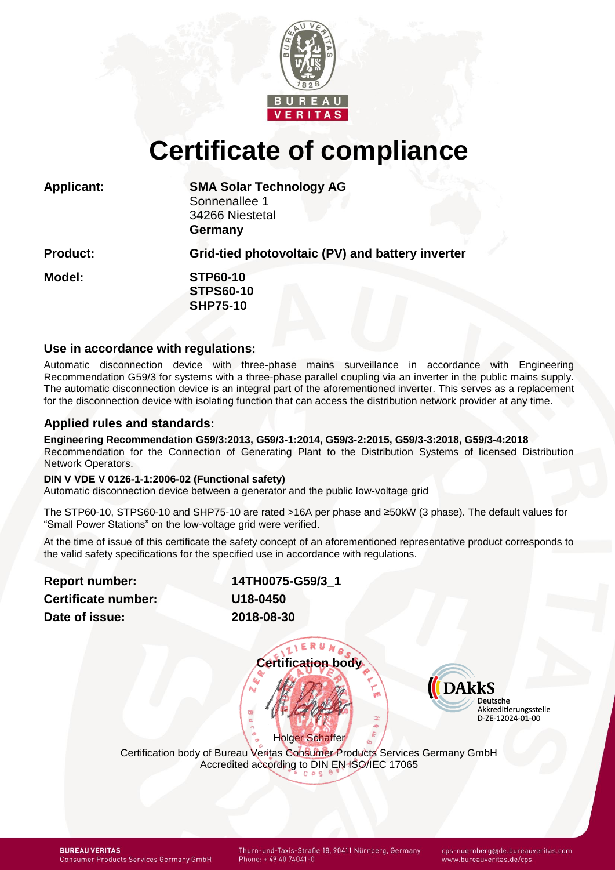

# **Certificate of compliance**

| <b>Applicant:</b> | <b>SMA Solar Technology AG</b><br>Sonnenallee 1<br>34266 Niestetal<br>Germany |
|-------------------|-------------------------------------------------------------------------------|
| <b>Product:</b>   | Grid-tied photovoltaic (PV) and battery inverter                              |
| Model:            | <b>STP60-10</b><br><b>STPS60-10</b><br><b>SHP75-10</b>                        |

## **Use in accordance with regulations:**

Automatic disconnection device with three-phase mains surveillance in accordance with Engineering Recommendation G59/3 for systems with a three-phase parallel coupling via an inverter in the public mains supply. The automatic disconnection device is an integral part of the aforementioned inverter. This serves as a replacement for the disconnection device with isolating function that can access the distribution network provider at any time.

## **Applied rules and standards:**

**Engineering Recommendation G59/3:2013, G59/3-1:2014, G59/3-2:2015, G59/3-3:2018, G59/3-4:2018** Recommendation for the Connection of Generating Plant to the Distribution Systems of licensed Distribution Network Operators.

## **DIN V VDE V 0126-1-1:2006-02 (Functional safety)**

Automatic disconnection device between a generator and the public low-voltage grid

The STP60-10, STPS60-10 and SHP75-10 are rated >16A per phase and ≥50kW (3 phase). The default values for "Small Power Stations" on the low-voltage grid were verified.

At the time of issue of this certificate the safety concept of an aforementioned representative product corresponds to the valid safety specifications for the specified use in accordance with regulations.

**Report number: Certificate number: Date of issue:** 

<span id="page-0-1"></span><span id="page-0-0"></span>

| 14TH0075-G59/3 1 |
|------------------|
| U18-0450         |
| 2018-08-30       |

IVERUNA **Certification body**



Holger Schaffer Certification body of Bureau Veritas Consumer Products Services Germany GmbH Accredited according to DIN EN ISO/IEC 17065

**BUREAU VERITAS Consumer Products Services Germany GmbH**  Thurn-und-Taxis-Straße 18, 90411 Nürnberg, Germany

cps-nuernberg@de.bureauveritas.com www.bureauveritas.de/cps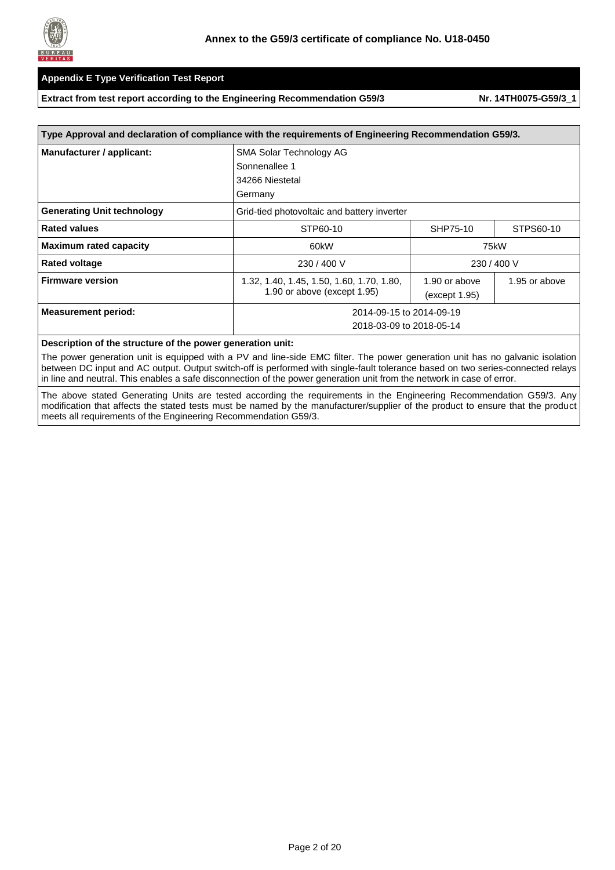

#### **Extract from test report according to the Engineering Recommendation G59/3 Nr. [14TH0075-G59/3\\_1](#page-0-1)**

| Type Approval and declaration of compliance with the requirements of Engineering Recommendation G59/3. |                                                                          |                                                 |             |  |  |  |
|--------------------------------------------------------------------------------------------------------|--------------------------------------------------------------------------|-------------------------------------------------|-------------|--|--|--|
| Manufacturer / applicant:                                                                              | <b>SMA Solar Technology AG</b>                                           |                                                 |             |  |  |  |
|                                                                                                        | Sonnenallee 1                                                            |                                                 |             |  |  |  |
|                                                                                                        | 34266 Niestetal                                                          |                                                 |             |  |  |  |
|                                                                                                        | Germany                                                                  |                                                 |             |  |  |  |
| <b>Generating Unit technology</b>                                                                      | Grid-tied photovoltaic and battery inverter                              |                                                 |             |  |  |  |
| <b>Rated values</b>                                                                                    | STP60-10                                                                 | SHP75-10                                        | STPS60-10   |  |  |  |
| <b>Maximum rated capacity</b>                                                                          | 60kW                                                                     | 75kW                                            |             |  |  |  |
| <b>Rated voltage</b>                                                                                   | 230 / 400 V                                                              |                                                 | 230 / 400 V |  |  |  |
| <b>Firmware version</b>                                                                                | 1.32, 1.40, 1.45, 1.50, 1.60, 1.70, 1.80,<br>1.90 or above (except 1.95) | 1.90 or above<br>1.95 or above<br>(except 1.95) |             |  |  |  |
| <b>Measurement period:</b>                                                                             | 2014-09-15 to 2014-09-19                                                 |                                                 |             |  |  |  |
|                                                                                                        | 2018-03-09 to 2018-05-14                                                 |                                                 |             |  |  |  |

#### **Description of the structure of the power generation unit:**

The power generation unit is equipped with a PV and line-side EMC filter. The power generation unit has no galvanic isolation between DC input and AC output. Output switch-off is performed with single-fault tolerance based on two series-connected relays in line and neutral. This enables a safe disconnection of the power generation unit from the network in case of error.

The above stated Generating Units are tested according the requirements in the Engineering Recommendation G59/3. Any modification that affects the stated tests must be named by the manufacturer/supplier of the product to ensure that the product meets all requirements of the Engineering Recommendation G59/3.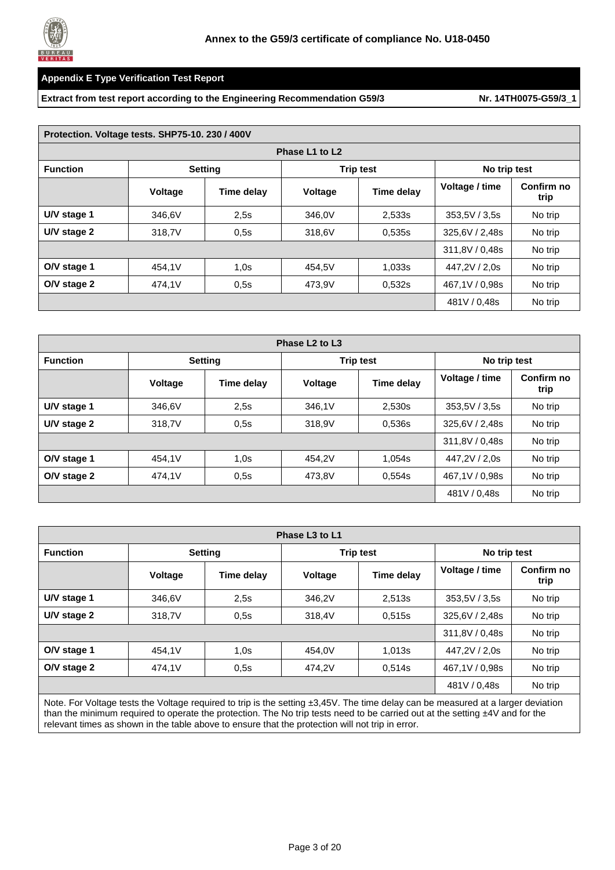

**Extract from test report according to the Engineering Recommendation G59/3** Nr. [14TH0075-G59/3\\_1](#page-0-1)

| Protection. Voltage tests. SHP75-10. 230 / 400V |         |                |                |                  |                |                    |  |
|-------------------------------------------------|---------|----------------|----------------|------------------|----------------|--------------------|--|
|                                                 |         |                | Phase L1 to L2 |                  |                |                    |  |
| <b>Function</b>                                 |         | <b>Setting</b> |                | <b>Trip test</b> | No trip test   |                    |  |
|                                                 | Voltage | Time delay     | Voltage        | Time delay       | Voltage / time | Confirm no<br>trip |  |
| U/V stage 1                                     | 346,6V  | 2.5s           | 346,0V         | 2,533s           | 353,5V / 3,5s  | No trip            |  |
| U/V stage 2                                     | 318,7V  | 0,5s           | 318,6V         | 0,535s           | 325,6V / 2,48s | No trip            |  |
|                                                 |         |                |                |                  | 311,8V / 0,48s | No trip            |  |
| O/V stage 1                                     | 454,1V  | 1,0s           | 454.5V         | 1,033s           | 447,2V / 2,0s  | No trip            |  |
| O/V stage 2                                     | 474,1V  | 0,5s           | 473,9V         | 0,532s           | 467,1V / 0,98s | No trip            |  |
|                                                 |         |                |                |                  | 481V / 0,48s   | No trip            |  |

| Phase L <sub>2</sub> to L <sub>3</sub> |                |                |                |                  |                |                    |  |
|----------------------------------------|----------------|----------------|----------------|------------------|----------------|--------------------|--|
| <b>Function</b>                        |                | <b>Setting</b> |                | <b>Trip test</b> | No trip test   |                    |  |
|                                        | <b>Voltage</b> | Time delay     | <b>Voltage</b> | Time delay       | Voltage / time | Confirm no<br>trip |  |
| U/V stage 1                            | 346.6V         | 2.5s           | 346,1V         | 2,530s           | 353,5V / 3,5s  | No trip            |  |
| U/V stage 2                            | 318,7V         | 0.5s           | 318,9V         | 0,536s           | 325,6V / 2,48s | No trip            |  |
|                                        |                |                |                |                  | 311,8V / 0,48s | No trip            |  |
| O/V stage 1                            | 454.1V         | 1,0s           | 454.2V         | 1,054s           | 447,2V / 2,0s  | No trip            |  |
| O/V stage 2                            | 474,1V         | 0,5s           | 473,8V         | 0,554s           | 467,1V / 0,98s | No trip            |  |
|                                        |                |                |                |                  | 481V / 0,48s   | No trip            |  |

| Phase L <sub>3</sub> to L <sub>1</sub> |                |            |         |                  |                |                    |  |  |
|----------------------------------------|----------------|------------|---------|------------------|----------------|--------------------|--|--|
| <b>Function</b>                        | <b>Setting</b> |            |         | <b>Trip test</b> | No trip test   |                    |  |  |
|                                        | Voltage        | Time delay | Voltage | Time delay       | Voltage / time | Confirm no<br>trip |  |  |
| U/V stage 1                            | 346,6V         | 2.5s       | 346.2V  | 2,513s           | 353,5V / 3,5s  | No trip            |  |  |
| U/V stage 2                            | 318,7V         | 0.5s       | 318.4V  | 0,515s           | 325,6V / 2,48s | No trip            |  |  |
|                                        |                |            |         |                  | 311,8V / 0,48s | No trip            |  |  |
| O/V stage 1                            | 454.1V         | 1,0s       | 454.0V  | 1,013s           | 447.2V / 2.0s  | No trip            |  |  |
| O/V stage 2                            | 474,1V         | 0,5s       | 474,2V  | 0,514s           | 467,1V / 0,98s | No trip            |  |  |
|                                        |                |            |         |                  | 481V / 0,48s   | No trip            |  |  |

Note. For Voltage tests the Voltage required to trip is the setting ±3,45V. The time delay can be measured at a larger deviation than the minimum required to operate the protection. The No trip tests need to be carried out at the setting ±4V and for the relevant times as shown in the table above to ensure that the protection will not trip in error.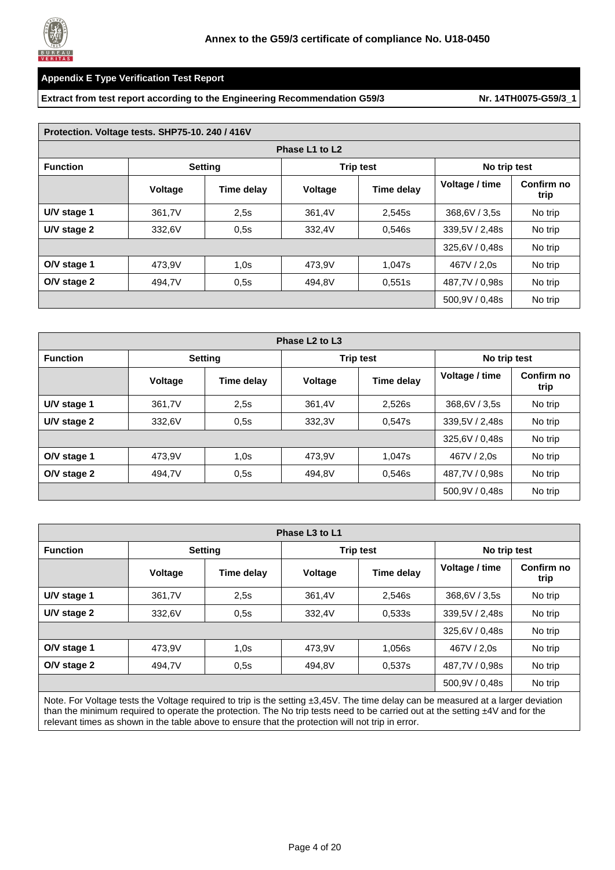

#### **Extract from test report according to the Engineering Recommendation G59/3** Nr. [14TH0075-G59/3\\_1](#page-0-1)

|                 | Protection. Voltage tests. SHP75-10. 240 / 416V |            |                |                  |                |                    |  |  |
|-----------------|-------------------------------------------------|------------|----------------|------------------|----------------|--------------------|--|--|
|                 |                                                 |            | Phase L1 to L2 |                  |                |                    |  |  |
| <b>Function</b> | <b>Setting</b>                                  |            |                | <b>Trip test</b> | No trip test   |                    |  |  |
|                 | <b>Voltage</b>                                  | Time delay | <b>Voltage</b> | Time delay       | Voltage / time | Confirm no<br>trip |  |  |
| U/V stage 1     | 361,7V                                          | 2.5s       | 361,4V         | 2,545s           | 368,6V / 3,5s  | No trip            |  |  |
| U/V stage 2     | 332,6V                                          | 0,5s       | 332,4V         | 0,546s           | 339,5V / 2,48s | No trip            |  |  |
|                 |                                                 |            |                |                  | 325,6V / 0,48s | No trip            |  |  |
| O/V stage 1     | 473,9V                                          | 1,0s       | 473,9V         | 1,047s           | 467V / 2.0s    | No trip            |  |  |
| O/V stage 2     | 494,7V                                          | 0.5s       | 494.8V         | 0,551s           | 487,7V / 0,98s | No trip            |  |  |
|                 |                                                 |            |                |                  | 500,9V / 0,48s | No trip            |  |  |

| Phase L <sub>2</sub> to L <sub>3</sub> |         |                |                |                  |                |                    |  |
|----------------------------------------|---------|----------------|----------------|------------------|----------------|--------------------|--|
| <b>Function</b>                        |         | <b>Setting</b> |                | <b>Trip test</b> | No trip test   |                    |  |
|                                        | Voltage | Time delay     | <b>Voltage</b> | Time delay       | Voltage / time | Confirm no<br>trip |  |
| U/V stage 1                            | 361,7V  | 2.5s           | 361,4V         | 2,526s           | 368,6V / 3,5s  | No trip            |  |
| U/V stage 2                            | 332,6V  | 0.5s           | 332,3V         | 0,547s           | 339,5V / 2,48s | No trip            |  |
|                                        |         |                |                |                  | 325,6V / 0,48s | No trip            |  |
| O/V stage 1                            | 473.9V  | 1,0s           | 473.9V         | 1,047s           | 467V / 2.0s    | No trip            |  |
| O/V stage 2                            | 494,7V  | 0,5s           | 494.8V         | 0,546s           | 487,7V / 0,98s | No trip            |  |
|                                        |         |                |                |                  | 500,9V / 0,48s | No trip            |  |

| Phase L <sub>3</sub> to L <sub>1</sub> |                |            |                |                  |                |                    |  |
|----------------------------------------|----------------|------------|----------------|------------------|----------------|--------------------|--|
| <b>Function</b>                        | <b>Setting</b> |            |                | <b>Trip test</b> |                | No trip test       |  |
|                                        | <b>Voltage</b> | Time delay | <b>Voltage</b> | Time delay       | Voltage / time | Confirm no<br>trip |  |
| U/V stage 1                            | 361,7V         | 2,5s       | 361,4V         | 2,546s           | 368,6V / 3,5s  | No trip            |  |
| U/V stage 2                            | 332,6V         | 0,5s       | 332,4V         | 0,533s           | 339,5V / 2,48s | No trip            |  |
|                                        |                |            |                |                  | 325,6V / 0,48s | No trip            |  |
| O/V stage 1                            | 473.9V         | 1,0s       | 473.9V         | 1,056s           | 467V / 2.0s    | No trip            |  |
| O/V stage 2                            | 494,7V         | 0.5s       | 494,8V         | 0,537s           | 487,7V / 0,98s | No trip            |  |
|                                        |                |            |                |                  | 500.9V / 0.48s | No trip            |  |
|                                        |                |            |                |                  |                |                    |  |

Note. For Voltage tests the Voltage required to trip is the setting ±3,45V. The time delay can be measured at a larger deviation than the minimum required to operate the protection. The No trip tests need to be carried out at the setting ±4V and for the relevant times as shown in the table above to ensure that the protection will not trip in error.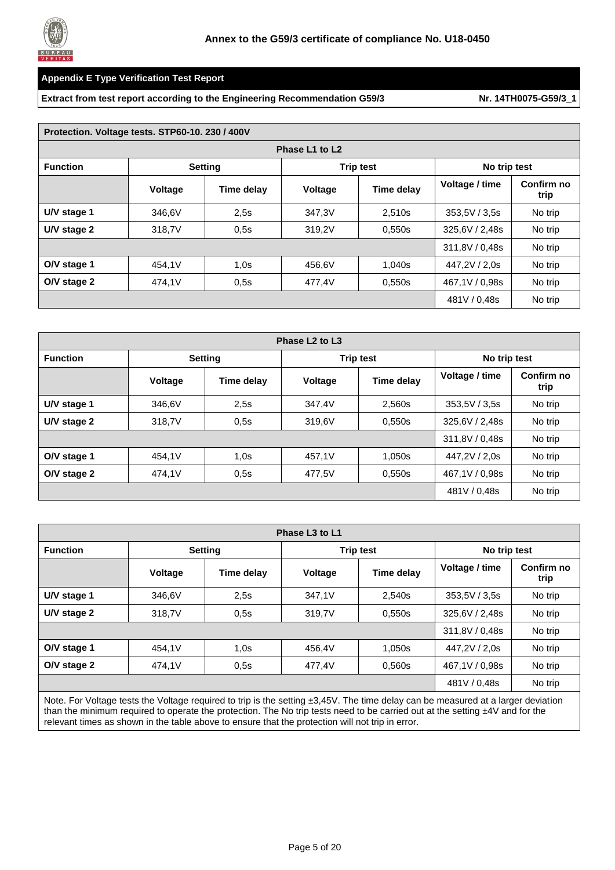

#### **Extract from test report according to the Engineering Recommendation G59/3** Nr. [14TH0075-G59/3\\_1](#page-0-1)

|                 | Protection. Voltage tests. STP60-10. 230 / 400V |                |                |                  |                |                    |  |  |
|-----------------|-------------------------------------------------|----------------|----------------|------------------|----------------|--------------------|--|--|
|                 |                                                 |                | Phase L1 to L2 |                  |                |                    |  |  |
| <b>Function</b> |                                                 | <b>Setting</b> |                | <b>Trip test</b> | No trip test   |                    |  |  |
|                 | <b>Voltage</b>                                  | Time delay     | <b>Voltage</b> | Time delay       | Voltage / time | Confirm no<br>trip |  |  |
| U/V stage 1     | 346,6V                                          | 2.5s           | 347,3V         | 2,510s           | 353,5V / 3,5s  | No trip            |  |  |
| U/V stage 2     | 318,7V                                          | 0,5s           | 319,2V         | 0,550s           | 325.6V / 2.48s | No trip            |  |  |
|                 |                                                 |                |                |                  | 311,8V / 0,48s | No trip            |  |  |
| O/V stage 1     | 454,1V                                          | 1,0s           | 456,6V         | 1,040s           | 447,2V / 2,0s  | No trip            |  |  |
| O/V stage 2     | 474.1V                                          | 0.5s           | 477,4V         | 0,550s           | 467,1V / 0,98s | No trip            |  |  |
|                 |                                                 |                |                |                  | 481V / 0,48s   | No trip            |  |  |

| Phase L <sub>2</sub> to L <sub>3</sub> |         |                |         |                  |                |                    |  |
|----------------------------------------|---------|----------------|---------|------------------|----------------|--------------------|--|
| <b>Function</b>                        |         | <b>Setting</b> |         | <b>Trip test</b> | No trip test   |                    |  |
|                                        | Voltage | Time delay     | Voltage | Time delay       | Voltage / time | Confirm no<br>trip |  |
| U/V stage 1                            | 346,6V  | 2.5s           | 347,4V  | 2,560s           | 353,5V / 3,5s  | No trip            |  |
| U/V stage 2                            | 318,7V  | 0.5s           | 319,6V  | 0,550s           | 325,6V / 2,48s | No trip            |  |
|                                        |         |                |         |                  | 311,8V / 0,48s | No trip            |  |
| O/V stage 1                            | 454.1V  | 1,0s           | 457.1V  | 1,050s           | 447,2V / 2,0s  | No trip            |  |
| O/V stage 2                            | 474,1V  | 0,5s           | 477,5V  | 0,550s           | 467,1V / 0,98s | No trip            |  |
|                                        |         |                |         |                  | 481V / 0,48s   | No trip            |  |

| Phase L <sub>3</sub> to L <sub>1</sub> |                |                                                                                                                                 |                |                  |                |                    |  |  |
|----------------------------------------|----------------|---------------------------------------------------------------------------------------------------------------------------------|----------------|------------------|----------------|--------------------|--|--|
| <b>Function</b>                        |                | <b>Setting</b>                                                                                                                  |                | <b>Trip test</b> |                | No trip test       |  |  |
|                                        | <b>Voltage</b> | Time delay                                                                                                                      | <b>Voltage</b> | Time delay       | Voltage / time | Confirm no<br>trip |  |  |
| U/V stage 1                            | 346,6V         | 2.5s                                                                                                                            | 347,1V         | 2,540s           | 353.5V / 3.5s  | No trip            |  |  |
| U/V stage 2                            | 318,7V         | 0,5s                                                                                                                            | 319,7V         | 0,550s           | 325,6V / 2,48s | No trip            |  |  |
|                                        |                |                                                                                                                                 |                |                  | 311.8V / 0.48s | No trip            |  |  |
| O/V stage 1                            | 454.1V         | 1,0s                                                                                                                            | 456.4V         | 1,050s           | 447.2V / 2.0s  | No trip            |  |  |
| O/V stage 2                            | 474,1V         | 0,5s                                                                                                                            | 477,4V         | 0,560s           | 467,1V / 0,98s | No trip            |  |  |
|                                        |                |                                                                                                                                 |                |                  | 481V / 0.48s   | No trip            |  |  |
|                                        |                | Note For Voltage tests the Voltage required to trip is the setting +3.45V. The time delay can be measured at a larger deviation |                |                  |                |                    |  |  |

Note. For Voltage tests the Voltage required to trip is the setting ±3,45V. The time delay can be measured at a larger deviation than the minimum required to operate the protection. The No trip tests need to be carried out at the setting ±4V and for the relevant times as shown in the table above to ensure that the protection will not trip in error.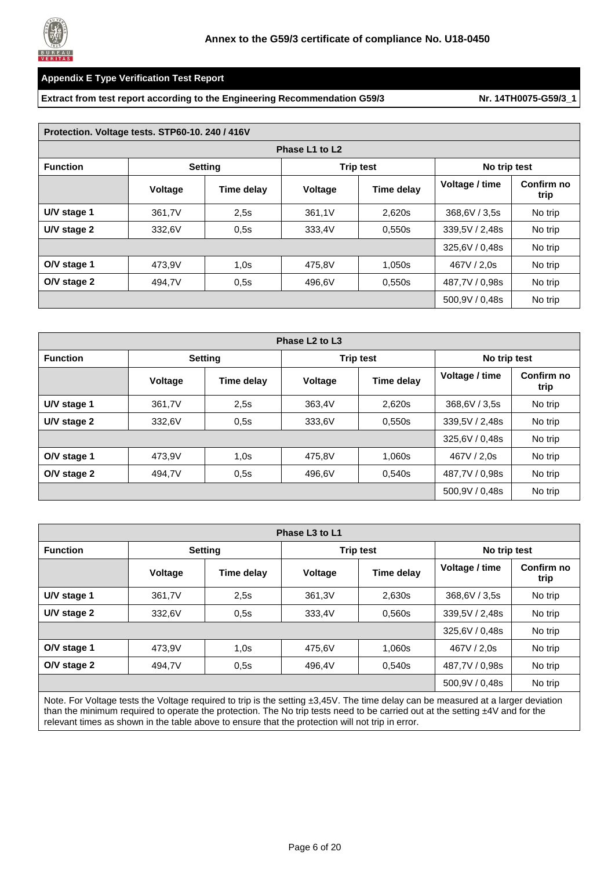

#### **Extract from test report according to the Engineering Recommendation G59/3** Nr. [14TH0075-G59/3\\_1](#page-0-1)

| Protection. Voltage tests. STP60-10. 240 / 416V |                |                                    |                |              |                |                    |  |  |  |
|-------------------------------------------------|----------------|------------------------------------|----------------|--------------|----------------|--------------------|--|--|--|
|                                                 | Phase L1 to L2 |                                    |                |              |                |                    |  |  |  |
| <b>Function</b>                                 |                | <b>Setting</b><br><b>Trip test</b> |                | No trip test |                |                    |  |  |  |
|                                                 | <b>Voltage</b> | Time delay                         | <b>Voltage</b> | Time delay   | Voltage / time | Confirm no<br>trip |  |  |  |
| U/V stage 1                                     | 361,7V         | 2.5s                               | 361,1V         | 2,620s       | 368,6V / 3,5s  | No trip            |  |  |  |
| U/V stage 2                                     | 332,6V         | 0.5s                               | 333,4V         | 0,550s       | 339,5V / 2,48s | No trip            |  |  |  |
|                                                 |                |                                    |                |              | 325,6V / 0,48s | No trip            |  |  |  |
| O/V stage 1                                     | 473.9V         | 1,0s                               | 475,8V         | 1,050s       | 467V / 2.0s    | No trip            |  |  |  |
| O/V stage 2                                     | 494,7V         | 0,5s                               | 496,6V         | 0,550s       | 487,7V / 0,98s | No trip            |  |  |  |
|                                                 |                |                                    |                |              | 500,9V / 0,48s | No trip            |  |  |  |

| Phase L <sub>2</sub> to L <sub>3</sub> |         |                |                  |            |                |                    |  |  |
|----------------------------------------|---------|----------------|------------------|------------|----------------|--------------------|--|--|
| <b>Function</b>                        |         | <b>Setting</b> | <b>Trip test</b> |            | No trip test   |                    |  |  |
|                                        | Voltage | Time delay     | Voltage          | Time delay | Voltage / time | Confirm no<br>trip |  |  |
| U/V stage 1                            | 361,7V  | 2.5s           | 363,4V           | 2.620s     | 368,6V / 3,5s  | No trip            |  |  |
| U/V stage 2                            | 332,6V  | 0.5s           | 333,6V           | 0,550s     | 339,5V / 2,48s | No trip            |  |  |
|                                        |         |                |                  |            | 325,6V / 0,48s | No trip            |  |  |
| O/V stage 1                            | 473.9V  | 1,0s           | 475.8V           | 1.060s     | 467V / 2.0s    | No trip            |  |  |
| O/V stage 2                            | 494,7V  | 0.5s           | 496,6V           | 0,540s     | 487.7V / 0.98s | No trip            |  |  |
|                                        |         |                |                  |            | 500,9V / 0,48s | No trip            |  |  |

| Phase L <sub>3</sub> to L <sub>1</sub> |                |                                                                                                                                                                                                                               |                |                  |                |                    |  |
|----------------------------------------|----------------|-------------------------------------------------------------------------------------------------------------------------------------------------------------------------------------------------------------------------------|----------------|------------------|----------------|--------------------|--|
| <b>Function</b>                        |                | <b>Setting</b>                                                                                                                                                                                                                |                | <b>Trip test</b> |                | No trip test       |  |
|                                        | <b>Voltage</b> | Time delay                                                                                                                                                                                                                    | <b>Voltage</b> | Time delay       | Voltage / time | Confirm no<br>trip |  |
| U/V stage 1                            | 361,7V         | 2,5s                                                                                                                                                                                                                          | 361,3V         | 2,630s           | 368,6V / 3,5s  | No trip            |  |
| U/V stage 2                            | 332.6V         | 0,5s                                                                                                                                                                                                                          | 333,4V         | 0,560s           | 339,5V / 2,48s | No trip            |  |
|                                        |                |                                                                                                                                                                                                                               |                |                  | 325,6V / 0,48s | No trip            |  |
| O/V stage 1                            | 473.9V         | 1,0s                                                                                                                                                                                                                          | 475,6V         | 1,060s           | 467V / 2.0s    | No trip            |  |
| O/V stage 2                            | 494,7V         | 0.5s                                                                                                                                                                                                                          | 496.4V         | 0,540s           | 487,7V / 0,98s | No trip            |  |
|                                        |                |                                                                                                                                                                                                                               |                |                  | 500,9V / 0,48s | No trip            |  |
|                                        |                | Nie Enthelen and Marshall and March Control (1980) and the control of the control of the control of the control of the control of the control of the control of the control of the control of the control of the control of t |                |                  |                |                    |  |

Note. For Voltage tests the Voltage required to trip is the setting ±3,45V. The time delay can be measured at a larger deviation than the minimum required to operate the protection. The No trip tests need to be carried out at the setting ±4V and for the relevant times as shown in the table above to ensure that the protection will not trip in error.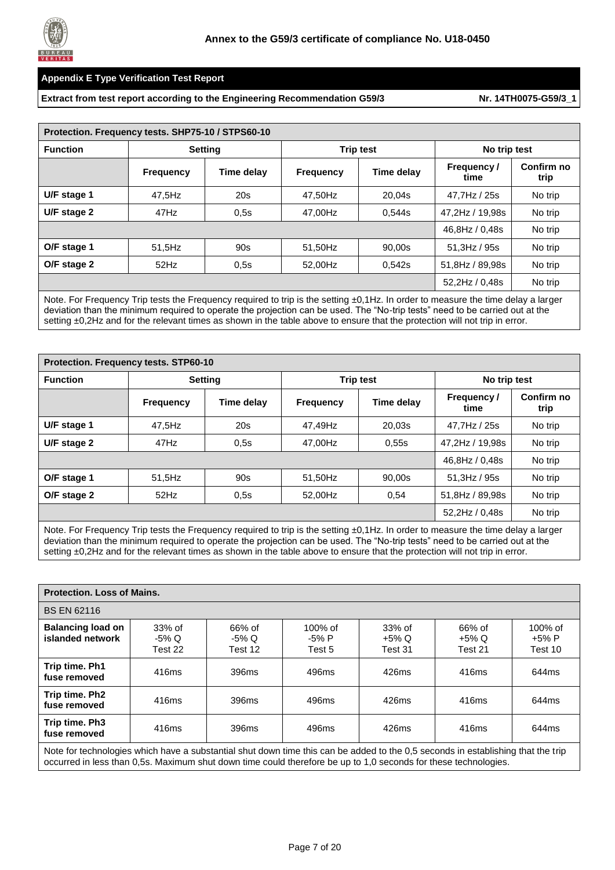

**Extract from test report according to the Engineering Recommendation G59/3 Nr. [14TH0075-G59/3\\_1](#page-0-1)** 

| Protection. Frequency tests. SHP75-10 / STPS60-10 |                  |                                                    |                  |            |                           |                    |  |
|---------------------------------------------------|------------------|----------------------------------------------------|------------------|------------|---------------------------|--------------------|--|
| <b>Function</b>                                   |                  | <b>Trip test</b><br><b>Setting</b><br>No trip test |                  |            |                           |                    |  |
|                                                   | <b>Frequency</b> | Time delay                                         | <b>Frequency</b> | Time delay | <b>Frequency/</b><br>time | Confirm no<br>trip |  |
| U/F stage 1                                       | 47,5Hz           | 20s                                                | 47.50Hz          | 20,04s     | 47.7Hz / 25s              | No trip            |  |
| U/F stage 2                                       | 47Hz             | 0.5s                                               | 47,00Hz          | 0,544s     | 47,2Hz / 19,98s           | No trip            |  |
|                                                   |                  |                                                    |                  |            | 46.8Hz / 0.48s            | No trip            |  |
| O/F stage 1                                       | 51,5Hz           | 90s                                                | 51,50Hz          | 90,00s     | $51.3$ Hz / 95s           | No trip            |  |
| O/F stage 2                                       | 52Hz             | 0,5s                                               | 52.00Hz          | 0,542s     | 51.8Hz / 89.98s           | No trip            |  |
|                                                   |                  |                                                    |                  |            | 52,2Hz / 0,48s            | No trip            |  |
|                                                   |                  |                                                    |                  |            |                           |                    |  |

Note. For Frequency Trip tests the Frequency required to trip is the setting ±0,1Hz. In order to measure the time delay a larger deviation than the minimum required to operate the projection can be used. The "No-trip tests" need to be carried out at the setting  $\pm 0$ , 2Hz and for the relevant times as shown in the table above to ensure that the protection will not trip in error.

| <b>Protection. Frequency tests. STP60-10</b> |                  |                |                  |                  |                    |                    |  |
|----------------------------------------------|------------------|----------------|------------------|------------------|--------------------|--------------------|--|
| <b>Function</b>                              |                  | <b>Setting</b> |                  | <b>Trip test</b> | No trip test       |                    |  |
|                                              | <b>Frequency</b> | Time delay     | <b>Frequency</b> | Time delay       | Frequency/<br>time | Confirm no<br>trip |  |
| U/F stage 1                                  | 47,5Hz           | 20s            | 47,49Hz          | 20,03s           | 47,7Hz / 25s       | No trip            |  |
| U/F stage 2                                  | 47Hz             | 0.5s           | 47,00Hz          | 0.55s            | 47,2Hz / 19,98s    | No trip            |  |
|                                              |                  |                |                  |                  | 46,8Hz / 0,48s     | No trip            |  |
| O/F stage 1                                  | 51,5Hz           | 90s            | 51,50Hz          | 90,00s           | $51.3$ Hz / 95s    | No trip            |  |
| O/F stage 2                                  | 52Hz             | 0.5s           | 52.00Hz          | 0,54             | 51.8Hz / 89.98s    | No trip            |  |
|                                              |                  |                |                  |                  | 52,2Hz / 0,48s     | No trip            |  |

Note. For Frequency Trip tests the Frequency required to trip is the setting ±0,1Hz. In order to measure the time delay a larger deviation than the minimum required to operate the projection can be used. The "No-trip tests" need to be carried out at the setting ±0,2Hz and for the relevant times as shown in the table above to ensure that the protection will not trip in error.

| <b>Protection. Loss of Mains.</b>            |                              |                               |                                |                              |                            |                                 |
|----------------------------------------------|------------------------------|-------------------------------|--------------------------------|------------------------------|----------------------------|---------------------------------|
| <b>BS EN 62116</b>                           |                              |                               |                                |                              |                            |                                 |
| <b>Balancing load on</b><br>islanded network | $33%$ of<br>-5% Q<br>Test 22 | 66% of<br>$-5\%$ Q<br>Test 12 | $100\%$ of<br>$-5%P$<br>Test 5 | $33%$ of<br>+5% Q<br>Test 31 | 66% of<br>+5% Q<br>Test 21 | $100\%$ of<br>$+5%P$<br>Test 10 |
| Trip time. Ph1<br>fuse removed               | 416ms                        | 396ms                         | 496ms                          | 426ms                        | 416ms                      | 644ms                           |
| Trip time. Ph2<br>fuse removed               | 416ms                        | 396ms                         | 496ms                          | 426ms                        | 416ms                      | 644ms                           |
| Trip time. Ph3<br>fuse removed               | 416ms                        | 396ms                         | 496ms                          | 426ms                        | 416ms                      | 644ms                           |

Note for technologies which have a substantial shut down time this can be added to the 0,5 seconds in establishing that the trip occurred in less than 0,5s. Maximum shut down time could therefore be up to 1,0 seconds for these technologies.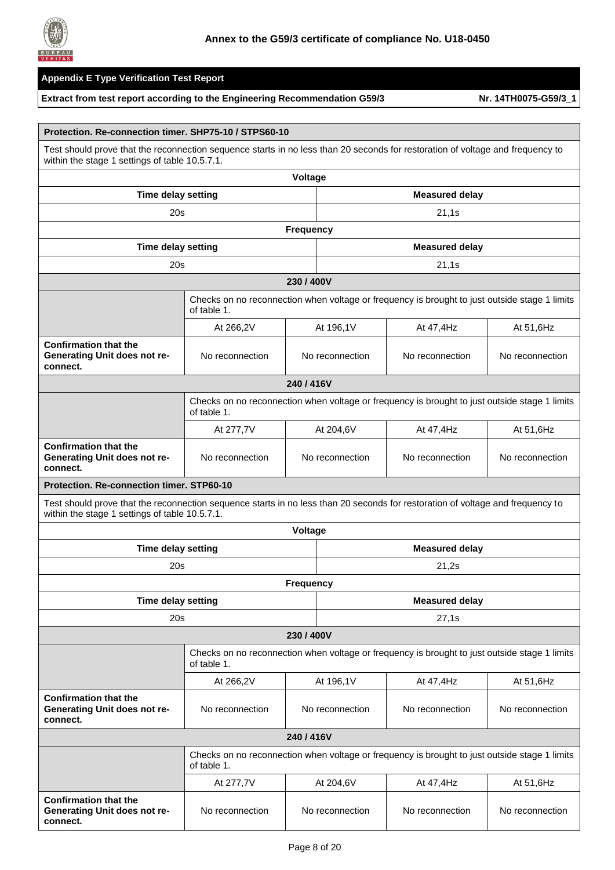

|                                                                                                                                                                                  | Protection, Re-connection timer, SHP75-10 / STPS60-10                                                        |                  |                 |                                                                                               |                 |  |  |
|----------------------------------------------------------------------------------------------------------------------------------------------------------------------------------|--------------------------------------------------------------------------------------------------------------|------------------|-----------------|-----------------------------------------------------------------------------------------------|-----------------|--|--|
| Test should prove that the reconnection sequence starts in no less than 20 seconds for restoration of voltage and frequency to<br>within the stage 1 settings of table 10.5.7.1. |                                                                                                              |                  |                 |                                                                                               |                 |  |  |
|                                                                                                                                                                                  |                                                                                                              | Voltage          |                 |                                                                                               |                 |  |  |
| <b>Time delay setting</b>                                                                                                                                                        |                                                                                                              |                  |                 | <b>Measured delay</b>                                                                         |                 |  |  |
| 20s                                                                                                                                                                              |                                                                                                              |                  |                 | 21,1s                                                                                         |                 |  |  |
|                                                                                                                                                                                  |                                                                                                              | <b>Frequency</b> |                 |                                                                                               |                 |  |  |
| Time delay setting<br><b>Measured delay</b>                                                                                                                                      |                                                                                                              |                  |                 |                                                                                               |                 |  |  |
| 20s<br>21,1s                                                                                                                                                                     |                                                                                                              |                  |                 |                                                                                               |                 |  |  |
|                                                                                                                                                                                  |                                                                                                              | 230/400V         |                 |                                                                                               |                 |  |  |
|                                                                                                                                                                                  | of table 1.                                                                                                  |                  |                 | Checks on no reconnection when voltage or frequency is brought to just outside stage 1 limits |                 |  |  |
|                                                                                                                                                                                  | At 266,2V                                                                                                    |                  | At 196,1V       | At 47,4Hz                                                                                     | At 51,6Hz       |  |  |
| <b>Confirmation that the</b><br>Generating Unit does not re-<br>connect.                                                                                                         | No reconnection                                                                                              |                  | No reconnection | No reconnection                                                                               | No reconnection |  |  |
| 240/416V                                                                                                                                                                         |                                                                                                              |                  |                 |                                                                                               |                 |  |  |
|                                                                                                                                                                                  | Checks on no reconnection when voltage or frequency is brought to just outside stage 1 limits<br>of table 1. |                  |                 |                                                                                               |                 |  |  |
|                                                                                                                                                                                  | At 277,7V                                                                                                    |                  | At 204,6V       | At 47,4Hz                                                                                     | At 51,6Hz       |  |  |
| <b>Confirmation that the</b><br>Generating Unit does not re-<br>connect.                                                                                                         | No reconnection                                                                                              | No reconnection  |                 | No reconnection                                                                               | No reconnection |  |  |
| Protection. Re-connection timer. STP60-10                                                                                                                                        |                                                                                                              |                  |                 |                                                                                               |                 |  |  |
| Test should prove that the reconnection sequence starts in no less than 20 seconds for restoration of voltage and frequency to<br>within the stage 1 settings of table 10.5.7.1. |                                                                                                              |                  |                 |                                                                                               |                 |  |  |
|                                                                                                                                                                                  |                                                                                                              | Voltage          |                 |                                                                                               |                 |  |  |
| Time delay setting                                                                                                                                                               |                                                                                                              |                  |                 | <b>Measured delay</b>                                                                         |                 |  |  |
| 20s                                                                                                                                                                              |                                                                                                              |                  |                 | 21,2s                                                                                         |                 |  |  |
|                                                                                                                                                                                  |                                                                                                              | <b>Frequency</b> |                 |                                                                                               |                 |  |  |
| <b>Time delay setting</b>                                                                                                                                                        |                                                                                                              |                  |                 | <b>Measured delay</b>                                                                         |                 |  |  |
| 20s                                                                                                                                                                              |                                                                                                              |                  |                 | 27,1s                                                                                         |                 |  |  |
|                                                                                                                                                                                  |                                                                                                              | 230/400V         |                 |                                                                                               |                 |  |  |
|                                                                                                                                                                                  | of table 1.                                                                                                  |                  |                 | Checks on no reconnection when voltage or frequency is brought to just outside stage 1 limits |                 |  |  |
|                                                                                                                                                                                  | At 266,2V                                                                                                    |                  | At 196,1V       | At 47,4Hz                                                                                     | At 51,6Hz       |  |  |
| <b>Confirmation that the</b><br><b>Generating Unit does not re-</b><br>connect.                                                                                                  | No reconnection                                                                                              |                  | No reconnection | No reconnection                                                                               | No reconnection |  |  |
|                                                                                                                                                                                  |                                                                                                              | 240/416V         |                 |                                                                                               |                 |  |  |
|                                                                                                                                                                                  | of table 1.                                                                                                  |                  |                 | Checks on no reconnection when voltage or frequency is brought to just outside stage 1 limits |                 |  |  |
|                                                                                                                                                                                  | At 277,7V                                                                                                    |                  | At 204,6V       | At 47,4Hz                                                                                     | At 51,6Hz       |  |  |
| <b>Confirmation that the</b><br>Generating Unit does not re-<br>connect.                                                                                                         | No reconnection                                                                                              |                  | No reconnection | No reconnection                                                                               | No reconnection |  |  |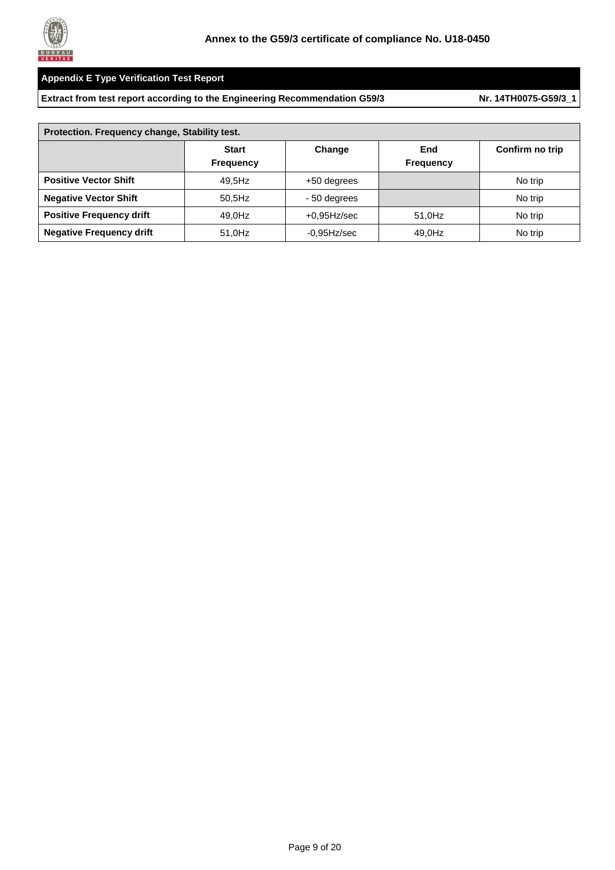

| Protection. Frequency change, Stability test. |                                  |                |                         |                 |  |  |  |
|-----------------------------------------------|----------------------------------|----------------|-------------------------|-----------------|--|--|--|
|                                               | <b>Start</b><br><b>Frequency</b> | Change         | End<br><b>Frequency</b> | Confirm no trip |  |  |  |
| <b>Positive Vector Shift</b>                  | 49.5Hz                           | +50 degrees    |                         | No trip         |  |  |  |
| <b>Negative Vector Shift</b>                  | $50.5$ Hz                        | - 50 degrees   |                         | No trip         |  |  |  |
| <b>Positive Frequency drift</b>               | 49.0Hz                           | $+0.95$ Hz/sec | 51.0Hz                  | No trip         |  |  |  |
| <b>Negative Frequency drift</b>               | 51.0Hz                           | $-0.95$ Hz/sec | 49,0Hz                  | No trip         |  |  |  |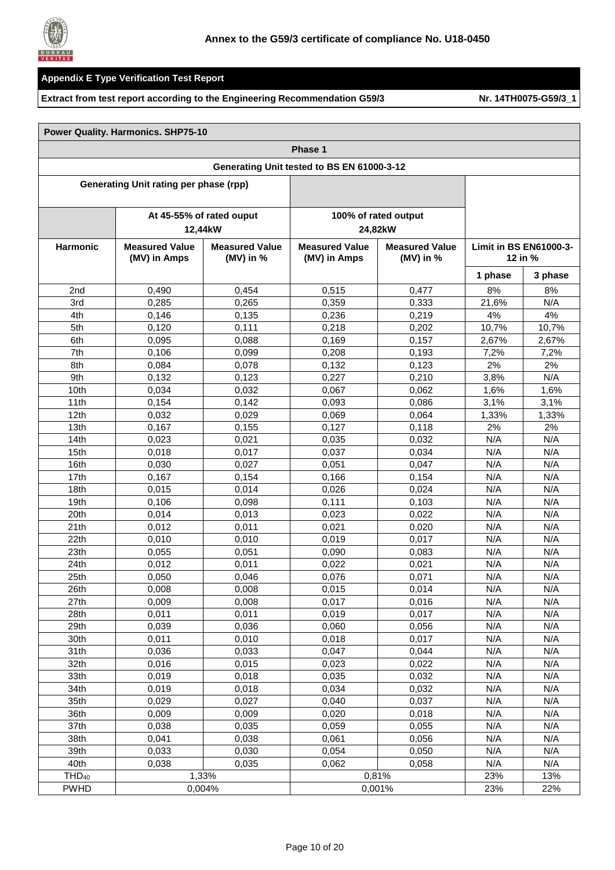

#### **Extract from test report according to the Engineering Recommendation G59/3 Nr. [14TH0075-G59/3\\_1](#page-0-1)**

٦

|                   | <b>Power Quality. Harmonics. SHP75-10</b>     |                                      |                                            |                                      |         |                               |
|-------------------|-----------------------------------------------|--------------------------------------|--------------------------------------------|--------------------------------------|---------|-------------------------------|
|                   |                                               |                                      | Phase 1                                    |                                      |         |                               |
|                   |                                               |                                      | Generating Unit tested to BS EN 61000-3-12 |                                      |         |                               |
|                   | <b>Generating Unit rating per phase (rpp)</b> |                                      |                                            |                                      |         |                               |
|                   |                                               | At 45-55% of rated ouput<br>12,44kW  |                                            | 100% of rated output<br>24,82kW      |         |                               |
| <b>Harmonic</b>   | <b>Measured Value</b><br>(MV) in Amps         | <b>Measured Value</b><br>(MV) in $%$ | <b>Measured Value</b><br>(MV) in Amps      | <b>Measured Value</b><br>(MV) in $%$ | 12 in % | <b>Limit in BS EN61000-3-</b> |
|                   |                                               |                                      |                                            |                                      | 1 phase | 3 phase                       |
| 2 <sub>nd</sub>   | 0,490                                         | 0,454                                | 0,515                                      | 0,477                                | 8%      | 8%                            |
| 3rd               | 0,285                                         | 0,265                                | 0,359                                      | 0,333                                | 21,6%   | N/A                           |
| 4th               | 0,146                                         | 0,135                                | 0,236                                      | 0,219                                | 4%      | 4%                            |
| 5th               | 0,120                                         | 0,111                                | 0,218                                      | 0,202                                | 10,7%   | 10,7%                         |
| 6th               | 0,095                                         | 0,088                                | 0,169                                      | 0,157                                | 2.67%   | 2,67%                         |
| 7th               | 0,106                                         | 0,099                                | 0,208                                      | 0.193                                | 7,2%    | 7,2%                          |
| 8th               | 0,084                                         | 0,078                                | 0,132                                      | 0.123                                | 2%      | 2%                            |
| 9th               | 0,132                                         | 0,123                                | 0,227                                      | 0,210                                | 3,8%    | N/A                           |
| 10th              | 0,034                                         | 0,032                                | 0,067                                      | 0,062                                | 1,6%    | 1,6%                          |
| 11th              | 0,154                                         | 0,142                                | 0,093                                      | 0,086                                | 3,1%    | 3,1%                          |
| 12th              | 0,032                                         | 0,029                                | 0,069                                      | 0,064                                | 1,33%   | 1,33%                         |
| 13 <sub>th</sub>  | 0,167                                         | 0.155                                | 0,127                                      | 0,118                                | 2%      | 2%                            |
| 14th              | 0,023                                         | 0,021                                | 0,035                                      | 0,032                                | N/A     | N/A                           |
| 15th              | 0,018                                         | 0,017                                | 0,037                                      | 0,034                                | N/A     | N/A                           |
| 16th              |                                               |                                      |                                            |                                      | N/A     | N/A                           |
| 17th              | 0.030<br>0,167                                | 0,027                                | 0,051                                      | 0,047                                | N/A     | N/A                           |
| 18th              |                                               | 0,154                                | 0,166                                      | 0,154                                | N/A     | N/A                           |
| 19 <sub>th</sub>  | 0,015                                         | 0,014                                | 0,026                                      | 0,024                                | N/A     | N/A                           |
|                   | 0,106                                         | 0,098                                | 0,111                                      | 0,103                                |         |                               |
| 20th              | 0,014                                         | 0,013                                | 0,023                                      | 0,022                                | N/A     | N/A                           |
| 21th              | 0,012                                         | 0,011                                | 0,021                                      | 0,020                                | N/A     | N/A                           |
| 22th              | 0,010                                         | 0,010                                | 0,019                                      | 0,017                                | N/A     | N/A                           |
| 23th              | 0,055                                         | 0,051                                | 0,090                                      | 0,083                                | N/A     | N/A                           |
| 24th              | 0,012                                         | 0,011                                | 0,022                                      | 0,021                                | N/A     | N/A                           |
| 25th              | 0,050                                         | 0,046                                | 0,076                                      | 0,071                                | N/A     | N/A                           |
| 26th              | 0,008                                         | 0,008                                | 0,015                                      | 0,014                                | N/A     | N/A                           |
| 27th              | 0,009                                         | 0,008                                | 0,017                                      | 0,016                                | N/A     | N/A                           |
| 28th              | 0,011                                         | 0,011                                | 0,019                                      | 0,017                                | N/A     | N/A                           |
| 29th              | 0,039                                         | 0,036                                | 0,060                                      | 0,056                                | N/A     | N/A                           |
| 30th              | 0,011                                         | 0,010                                | 0,018                                      | 0,017                                | N/A     | N/A                           |
| 31th              | 0,036                                         | 0,033                                | 0,047                                      | 0,044                                | N/A     | N/A                           |
| 32th              | 0,016                                         | 0,015                                | 0,023                                      | 0,022                                | N/A     | N/A                           |
| 33th              | 0,019                                         | 0,018                                | 0,035                                      | 0,032                                | N/A     | N/A                           |
| 34th              | 0,019                                         | 0,018                                | 0,034                                      | 0,032                                | N/A     | N/A                           |
| 35th              | 0,029                                         | 0,027                                | 0,040                                      | 0,037                                | N/A     | N/A                           |
| 36th              | 0,009                                         | 0,009                                | 0,020                                      | 0,018                                | N/A     | N/A                           |
| 37th              | 0,038                                         | 0,035                                | 0,059                                      | 0,055                                | N/A     | N/A                           |
| 38th              | 0,041                                         | 0,038                                | 0,061                                      | 0,056                                | N/A     | N/A                           |
| 39th              | 0,033                                         | 0,030                                | 0,054                                      | 0,050                                | N/A     | N/A                           |
| 40th              | 0,038                                         | 0,035                                | 0,062                                      | 0,058                                | N/A     | N/A                           |
| THD <sub>40</sub> |                                               | 1,33%                                |                                            | 0,81%                                | 23%     | 13%                           |
| <b>PWHD</b>       | 0,004%                                        |                                      |                                            | 0,001%                               | 23%     | 22%                           |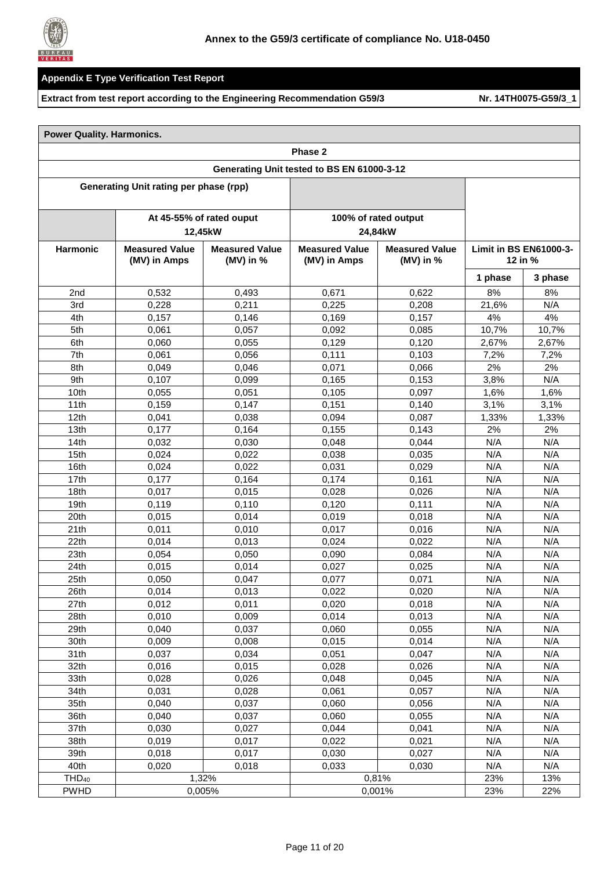

|                   |                                                |             | Phase 2                                    |                                 |                               |         |
|-------------------|------------------------------------------------|-------------|--------------------------------------------|---------------------------------|-------------------------------|---------|
|                   |                                                |             | Generating Unit tested to BS EN 61000-3-12 |                                 |                               |         |
|                   | <b>Generating Unit rating per phase (rpp)</b>  |             |                                            |                                 |                               |         |
|                   |                                                |             |                                            |                                 |                               |         |
|                   | At 45-55% of rated ouput<br>12,45kW            |             |                                            | 100% of rated output<br>24,84kW |                               |         |
| <b>Harmonic</b>   | <b>Measured Value</b><br><b>Measured Value</b> |             | <b>Measured Value</b>                      | <b>Measured Value</b>           | <b>Limit in BS EN61000-3-</b> |         |
|                   | (MV) in Amps                                   | (MV) in $%$ | (MV) in Amps                               | (MV) in $%$                     | 12 in $%$                     |         |
|                   |                                                |             |                                            |                                 | 1 phase                       | 3 phase |
| 2nd               | 0,532                                          | 0,493       | 0,671                                      | 0,622                           | 8%                            | 8%      |
| 3rd               | 0,228                                          | 0,211       | 0,225                                      | 0,208                           | 21,6%                         | N/A     |
| 4th               | 0,157                                          | 0,146       | 0,169                                      | 0,157                           | 4%                            | 4%      |
| 5th               | 0,061                                          | 0,057       | 0,092                                      | 0,085                           | 10,7%                         | 10,7%   |
| 6th               | 0,060                                          | 0,055       | 0,129                                      | 0,120                           | 2,67%                         | 2,67%   |
| 7th               | 0,061                                          | 0,056       | 0,111                                      | 0,103                           | 7,2%                          | 7,2%    |
| 8th               | 0,049                                          | 0,046       | 0,071                                      | 0,066                           | 2%                            | 2%      |
| 9th               | 0,107                                          | 0,099       | 0,165                                      | 0,153                           | 3,8%                          | N/A     |
| 10th              | 0,055                                          | 0,051       | 0,105                                      | 0,097                           | 1,6%                          | 1,6%    |
| 11th              | 0,159                                          | 0,147       | 0,151                                      | 0,140                           | 3,1%                          | 3,1%    |
| 12th              | 0,041                                          | 0,038       | 0,094                                      | 0,087                           | 1,33%                         | 1,33%   |
| 13th              | 0,177                                          | 0,164       | 0,155                                      | 0,143                           | 2%                            | 2%      |
| 14th              | 0,032                                          | 0,030       | 0,048                                      | 0,044                           | N/A                           | N/A     |
| 15th              | 0,024                                          | 0,022       | 0,038                                      | 0,035                           | N/A                           | N/A     |
| 16th              | 0,024                                          | 0,022       | 0,031                                      | 0,029                           | N/A                           | N/A     |
| 17th              | 0,177                                          | 0,164       | 0,174                                      | 0,161                           | N/A                           | N/A     |
| 18th              | 0,017                                          | 0,015       | 0,028                                      | 0,026                           | N/A                           | N/A     |
| 19th              | 0,119                                          | 0,110       | 0,120                                      | 0,111                           | N/A                           | N/A     |
| 20th              | 0,015                                          | 0,014       | 0,019                                      | 0,018                           | N/A                           | N/A     |
| 21th              | 0,011                                          | 0,010       | 0,017                                      | 0,016                           | N/A                           | N/A     |
| 22th              | 0,014                                          | 0,013       | 0,024                                      | 0,022                           | N/A                           | N/A     |
| 23th              | 0,054                                          | 0,050       | 0,090                                      | 0,084                           | N/A                           | N/A     |
| 24th              | 0,015                                          | 0,014       | 0,027                                      | 0,025                           | N/A                           | N/A     |
| 25th              | 0,050                                          | 0,047       | 0.077                                      | 0,071                           | N/A                           | N/A     |
| 26th              | 0,014                                          | 0,013       | 0,022                                      | 0,020                           | N/A                           | N/A     |
| 27th              | 0,012                                          | 0,011       | 0,020                                      | 0,018                           | N/A                           | N/A     |
| 28th              | 0.010                                          | 0,009       | 0,014                                      | 0,013                           | N/A                           | N/A     |
| 29th              | 0,040                                          | 0,037       | 0,060                                      | 0,055                           | N/A                           | N/A     |
| 30th              | 0,009                                          | 0,008       | 0,015                                      | 0,014                           | N/A                           | N/A     |
| 31th              | 0,037                                          | 0,034       | 0,051                                      | 0,047                           | N/A                           | N/A     |
| 32th              | 0,016                                          | 0,015       | 0,028                                      | 0,026                           | N/A                           | N/A     |
| 33th              | 0,028                                          | 0,026       | 0,048                                      | 0,045                           | N/A                           | N/A     |
| 34th              | 0,031                                          | 0,028       | 0,061                                      | 0,057                           | N/A                           | N/A     |
| 35th              | 0,040                                          | 0,037       | 0,060                                      | 0,056                           | N/A                           | N/A     |
| 36th              | 0,040                                          | 0,037       | 0,060                                      | 0,055                           | N/A                           | N/A     |
| 37th              | 0,030                                          | 0,027       | 0,044                                      | 0,041                           | N/A                           | N/A     |
| 38th              | 0,019                                          | 0,017       | 0,022                                      | 0,021                           | N/A                           | N/A     |
| 39th              | 0,018                                          | 0,017       | 0,030                                      | 0,027                           | N/A                           | N/A     |
| 40th              | 0,020                                          | 0,018       | 0,033                                      | 0,030                           | N/A                           | N/A     |
| THD <sub>40</sub> | 1,32%                                          |             |                                            | 0,81%                           | 23%                           | 13%     |
| <b>PWHD</b>       | 0,005%                                         |             |                                            | 0,001%                          | 23%                           | 22%     |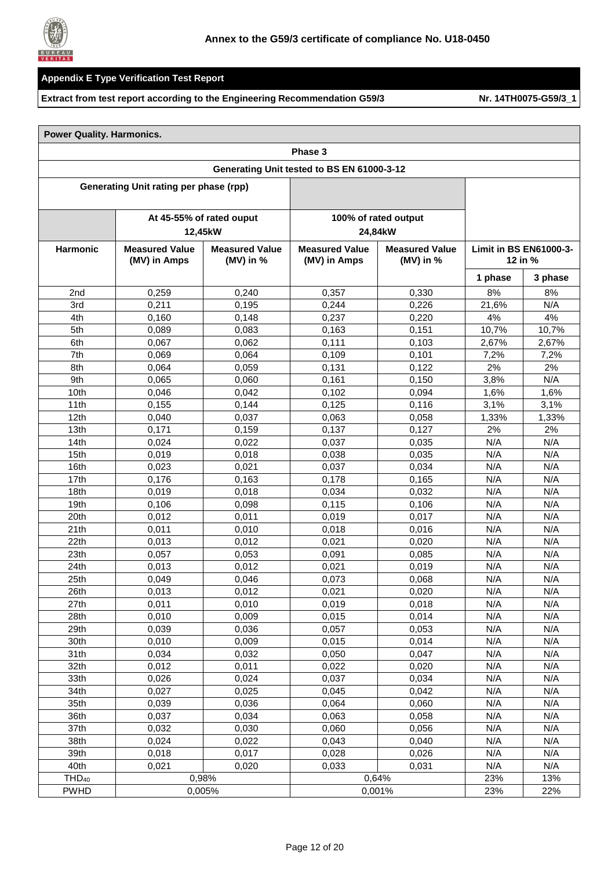

|  |  | <b>Power Quality. Harmonics.</b> |  |
|--|--|----------------------------------|--|
|--|--|----------------------------------|--|

|                   | Phase 3                                                                       |                                     |                                       |                                      |         |                                     |  |  |
|-------------------|-------------------------------------------------------------------------------|-------------------------------------|---------------------------------------|--------------------------------------|---------|-------------------------------------|--|--|
|                   | Generating Unit tested to BS EN 61000-3-12                                    |                                     |                                       |                                      |         |                                     |  |  |
|                   | Generating Unit rating per phase (rpp)                                        |                                     |                                       |                                      |         |                                     |  |  |
|                   |                                                                               |                                     |                                       | 100% of rated output                 |         |                                     |  |  |
|                   |                                                                               | At 45-55% of rated ouput<br>12,45kW |                                       | 24,84kW                              |         |                                     |  |  |
| <b>Harmonic</b>   | <b>Measured Value</b><br><b>Measured Value</b><br>(MV) in Amps<br>(MV) in $%$ |                                     | <b>Measured Value</b><br>(MV) in Amps | <b>Measured Value</b><br>(MV) in $%$ |         | Limit in BS EN61000-3-<br>12 in $%$ |  |  |
|                   |                                                                               |                                     |                                       |                                      | 1 phase | 3 phase                             |  |  |
| 2nd               | 0,259                                                                         | 0,240                               | 0,357                                 | 0,330                                | 8%      | 8%                                  |  |  |
| 3rd               | 0,211                                                                         | 0,195                               | 0,244                                 | 0,226                                | 21,6%   | N/A                                 |  |  |
| 4th               | 0,160                                                                         | 0,148                               | 0,237                                 | 0,220                                | 4%      | 4%                                  |  |  |
| 5th               | 0,089                                                                         | 0,083                               | 0,163                                 | 0,151                                | 10,7%   | 10,7%                               |  |  |
| 6th               | 0,067                                                                         | 0,062                               | 0,111                                 | 0,103                                | 2,67%   | 2,67%                               |  |  |
| 7th               | 0,069                                                                         | 0,064                               | 0,109                                 | 0,101                                | 7,2%    | 7,2%                                |  |  |
| 8th               | 0,064                                                                         | 0,059                               | 0,131                                 | 0,122                                | 2%      | 2%                                  |  |  |
| 9th               | 0,065                                                                         | 0,060                               | 0,161                                 | 0,150                                | 3,8%    | N/A                                 |  |  |
| 10th              | 0,046                                                                         | 0,042                               | 0,102                                 | 0,094                                | 1,6%    | 1,6%                                |  |  |
| 11th              | 0,155                                                                         | 0,144                               | 0,125                                 | 0,116                                | 3,1%    | 3,1%                                |  |  |
| 12th              | 0,040                                                                         | 0,037                               | 0,063                                 | 0,058                                | 1,33%   | 1,33%                               |  |  |
| 13th              | 0,171                                                                         | 0.159                               | 0,137                                 | 0,127                                | 2%      | 2%                                  |  |  |
| 14th              | 0,024                                                                         | 0,022                               | 0,037                                 | 0,035                                | N/A     | N/A                                 |  |  |
| 15th              | 0,019                                                                         | 0,018                               | 0,038                                 | 0,035                                | N/A     | N/A                                 |  |  |
| 16th              | 0,023                                                                         | 0,021                               | 0,037                                 | 0,034                                | N/A     | N/A                                 |  |  |
| 17th              | 0,176                                                                         | 0,163                               | 0,178                                 | 0,165                                | N/A     | N/A                                 |  |  |
| 18th              | 0,019                                                                         | 0,018                               | 0,034                                 | 0,032                                | N/A     | N/A                                 |  |  |
| 19th              | 0,106                                                                         | 0,098                               | 0,115                                 | 0,106                                | N/A     | N/A                                 |  |  |
| 20th              | 0,012                                                                         | 0,011                               | 0,019                                 | 0,017                                | N/A     | N/A                                 |  |  |
| 21th              | 0,011                                                                         | 0,010                               | 0,018                                 | 0,016                                | N/A     | N/A                                 |  |  |
| 22th              | 0,013                                                                         | 0,012                               | 0,021                                 | 0,020                                | N/A     | N/A                                 |  |  |
| 23th              | 0,057                                                                         | 0,053                               | 0,091                                 | 0.085                                | N/A     | N/A                                 |  |  |
| 24th              | 0,013                                                                         | 0,012                               | 0,021                                 | 0.019                                | N/A     | N/A                                 |  |  |
| 25th              | 0,049                                                                         | 0,046                               | 0,073                                 | 0,068                                | N/A     | N/A                                 |  |  |
| 26th              | 0,013                                                                         | 0,012                               | 0,021                                 | 0,020                                | N/A     | N/A                                 |  |  |
| 27th              | 0,011                                                                         | 0,010                               | 0,019                                 | 0,018                                | N/A     | N/A                                 |  |  |
| 28th              | 0,010                                                                         | 0,009                               | 0,015                                 | 0,014                                | N/A     | N/A                                 |  |  |
| 29th              | 0,039                                                                         | 0,036                               | 0,057                                 | 0,053                                | N/A     | N/A                                 |  |  |
| 30th              | 0,010                                                                         | 0,009                               | 0,015                                 | 0,014                                | N/A     | N/A                                 |  |  |
| 31th              | 0,034                                                                         | 0,032                               | 0,050                                 | 0,047                                | N/A     | N/A                                 |  |  |
| 32th              | 0,012                                                                         | 0,011                               | 0,022                                 | 0,020                                | N/A     | N/A                                 |  |  |
| 33th              | 0,026                                                                         | 0,024                               | 0,037                                 | 0,034                                | N/A     | N/A                                 |  |  |
| 34th              | 0,027                                                                         | 0,025                               | 0,045                                 | 0,042                                | N/A     | N/A                                 |  |  |
| 35th              | 0,039                                                                         | 0,036                               | 0,064                                 | 0,060                                | N/A     | N/A                                 |  |  |
| 36th              | 0,037                                                                         | 0,034                               | 0,063                                 | 0,058                                | N/A     | N/A                                 |  |  |
| 37th              | 0,032                                                                         | 0,030                               | 0,060                                 | 0,056                                | N/A     | N/A                                 |  |  |
| 38th              | 0,024                                                                         | 0,022                               | 0,043                                 | 0,040                                | N/A     | N/A                                 |  |  |
| 39th              | 0,018                                                                         | 0,017                               | 0,028                                 | 0,026                                | N/A     | N/A                                 |  |  |
| 40th              | 0,021                                                                         | 0,020                               | 0,033                                 | 0,031                                | N/A     | N/A                                 |  |  |
| THD <sub>40</sub> |                                                                               | 0,98%                               |                                       | 0.64%                                | 23%     | 13%                                 |  |  |
| <b>PWHD</b>       |                                                                               | 0,005%                              |                                       | 0,001%                               | 23%     | 22%                                 |  |  |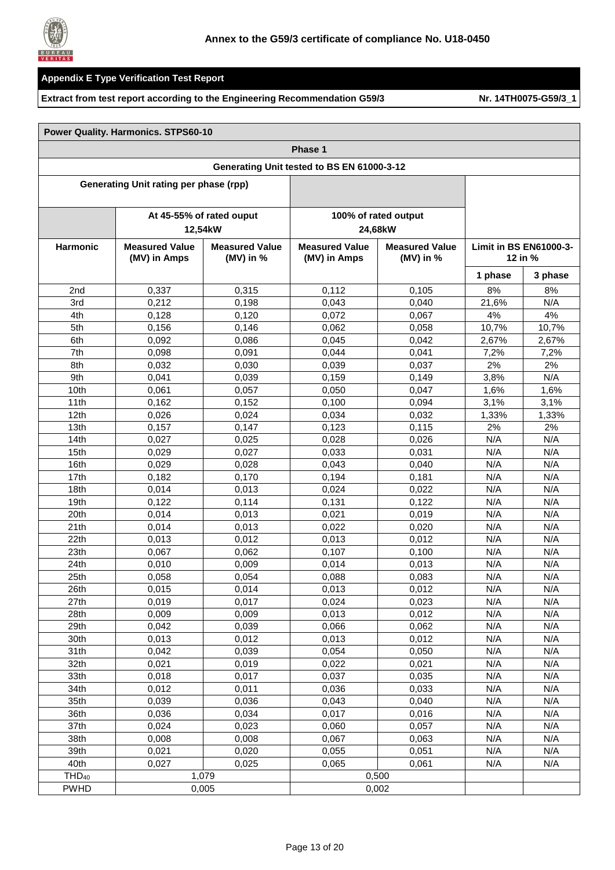

#### **Extract from test report according to the Engineering Recommendation G59/3 Nr. [14TH0075-G59/3\\_1](#page-0-1)**

┓

|                   | <b>Power Quality. Harmonics. STPS60-10</b> |                                      |                                       |                                      |                                   |         |  |  |
|-------------------|--------------------------------------------|--------------------------------------|---------------------------------------|--------------------------------------|-----------------------------------|---------|--|--|
|                   | Phase 1                                    |                                      |                                       |                                      |                                   |         |  |  |
|                   | Generating Unit tested to BS EN 61000-3-12 |                                      |                                       |                                      |                                   |         |  |  |
|                   | Generating Unit rating per phase (rpp)     |                                      |                                       |                                      |                                   |         |  |  |
|                   |                                            |                                      |                                       |                                      |                                   |         |  |  |
|                   |                                            | At 45-55% of rated ouput             |                                       | 100% of rated output                 |                                   |         |  |  |
|                   |                                            | 12,54kW                              |                                       | 24,68kW                              |                                   |         |  |  |
| <b>Harmonic</b>   | <b>Measured Value</b><br>(MV) in Amps      | <b>Measured Value</b><br>(MV) in $%$ | <b>Measured Value</b><br>(MV) in Amps | <b>Measured Value</b><br>(MV) in $%$ | Limit in BS EN61000-3-<br>12 in % |         |  |  |
|                   |                                            |                                      |                                       |                                      | 1 phase                           | 3 phase |  |  |
| 2nd               | 0,337                                      | 0,315                                | 0,112                                 | 0,105                                | 8%                                | 8%      |  |  |
| 3rd               | 0,212                                      | 0,198                                | 0,043                                 | 0,040                                | 21,6%                             | N/A     |  |  |
| 4th               | 0,128                                      | 0,120                                | 0,072                                 | 0,067                                | 4%                                | 4%      |  |  |
| 5th               | 0,156                                      | 0.146                                | 0,062                                 | 0,058                                | 10,7%                             | 10,7%   |  |  |
| 6th               | 0,092                                      | 0,086                                | 0,045                                 | 0,042                                | 2,67%                             | 2,67%   |  |  |
| 7th               | 0,098                                      | 0,091                                | 0,044                                 | 0,041                                | 7,2%                              | 7,2%    |  |  |
| 8th               | 0,032                                      | 0,030                                | 0,039                                 | 0,037                                | 2%                                | 2%      |  |  |
| 9th               | 0,041                                      | 0,039                                | 0,159                                 | 0,149                                | 3,8%                              | N/A     |  |  |
| 10th              | 0,061                                      | 0,057                                | 0,050                                 | 0,047                                | 1,6%                              | 1,6%    |  |  |
| 11th              | 0,162                                      | 0,152                                | 0,100                                 | 0,094                                | 3,1%                              | 3,1%    |  |  |
| 12th              | 0,026                                      | 0,024                                | 0,034                                 | 0,032                                | 1,33%                             | 1,33%   |  |  |
| 13th              | 0,157                                      | 0,147                                | 0,123                                 | 0,115                                | 2%                                | 2%      |  |  |
| 14th              | 0,027                                      | 0,025                                | 0,028                                 | 0,026                                | N/A                               | N/A     |  |  |
| 15th              | 0,029                                      | 0,027                                | 0,033                                 | 0,031                                | N/A                               | N/A     |  |  |
| 16th              | 0,029                                      | 0,028                                | 0,043                                 | 0,040                                | N/A                               | N/A     |  |  |
| 17th              | 0,182                                      | 0,170                                | 0,194                                 | 0,181                                | N/A                               | N/A     |  |  |
| 18th              | 0,014                                      | 0,013                                | 0,024                                 | 0,022                                | N/A                               | N/A     |  |  |
| 19 <sub>th</sub>  | 0,122                                      | 0,114                                | 0,131                                 | 0,122                                | N/A                               | N/A     |  |  |
| 20th              | 0,014                                      | 0,013                                | 0,021                                 | 0,019                                | N/A                               | N/A     |  |  |
| 21th              | 0,014                                      | 0,013                                | 0,022                                 | 0,020                                | N/A                               | N/A     |  |  |
| 22th              | 0,013                                      | 0,012                                | 0,013                                 | 0,012                                | N/A                               | N/A     |  |  |
| 23th              | 0,067                                      | 0,062                                | 0,107                                 | 0,100                                | N/A                               | N/A     |  |  |
| 24th              | 0,010                                      | 0,009                                | 0,014                                 | 0,013                                | N/A                               | N/A     |  |  |
| 25th              | 0,058                                      | 0,054                                | 0,088                                 | 0,083                                | N/A                               | N/A     |  |  |
| 26th              | 0,015                                      | 0,014                                | 0,013                                 | 0,012                                | N/A                               | N/A     |  |  |
| 27th              | 0,019                                      | 0,017                                | 0,024                                 | 0,023                                | N/A                               | N/A     |  |  |
| 28th              | 0,009                                      | 0,009                                | 0,013                                 | 0,012                                | N/A                               | N/A     |  |  |
| 29th              | 0,042                                      | 0,039                                | 0,066                                 | 0,062                                | N/A                               | N/A     |  |  |
| 30th              | 0,013                                      | 0,012                                | 0,013                                 | 0,012                                | N/A                               | N/A     |  |  |
| 31th              | 0,042                                      | 0,039                                | 0,054                                 | 0,050                                | N/A                               | N/A     |  |  |
| 32th              | 0,021                                      | 0,019                                | 0,022                                 | 0,021                                | N/A                               | N/A     |  |  |
| 33th              | 0,018                                      | 0,017                                | 0,037                                 | 0,035                                | N/A                               | N/A     |  |  |
| 34th              | 0,012                                      | 0,011                                | 0,036                                 | 0,033                                | N/A                               | N/A     |  |  |
| 35th              | 0,039                                      | 0,036                                | 0,043                                 | 0,040                                | N/A                               | N/A     |  |  |
| 36th              | 0,036                                      | 0,034                                | 0,017                                 | 0,016                                | N/A                               | N/A     |  |  |
| 37th              | 0,024                                      | 0,023                                | 0,060                                 | 0,057                                | N/A                               | N/A     |  |  |
| 38th              | 0,008                                      | 0,008                                | 0,067                                 | 0,063                                | N/A                               | N/A     |  |  |
| 39th              | 0,021                                      | 0,020                                | 0,055                                 | 0,051                                | N/A                               | N/A     |  |  |
| 40th              | 0,027                                      | 0,025                                | 0,065                                 | 0,061                                | N/A                               | N/A     |  |  |
| THD <sub>40</sub> |                                            | 1,079                                |                                       | 0,500                                |                                   |         |  |  |
| <b>PWHD</b>       |                                            | 0,005                                |                                       | 0,002                                |                                   |         |  |  |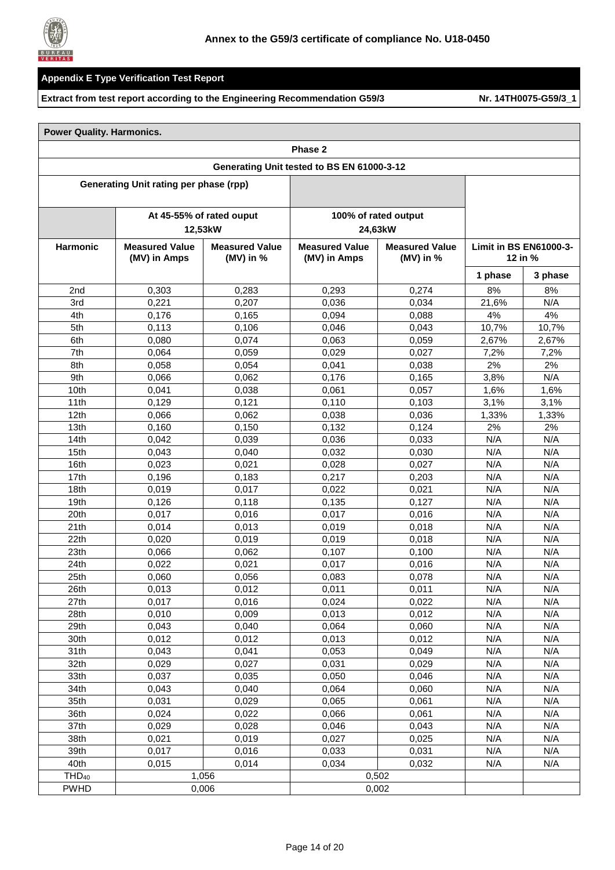

|  | <b>Power Quality. Harmonics.</b> |
|--|----------------------------------|
|  |                                  |

|                   | Phase 2                                                                       |                                       |                                            |                                 |                                          |         |  |
|-------------------|-------------------------------------------------------------------------------|---------------------------------------|--------------------------------------------|---------------------------------|------------------------------------------|---------|--|
|                   |                                                                               |                                       | Generating Unit tested to BS EN 61000-3-12 |                                 |                                          |         |  |
|                   | <b>Generating Unit rating per phase (rpp)</b>                                 |                                       |                                            |                                 |                                          |         |  |
|                   |                                                                               |                                       |                                            |                                 |                                          |         |  |
|                   |                                                                               | At 45-55% of rated ouput<br>12,53kW   |                                            | 100% of rated output<br>24,63kW |                                          |         |  |
| <b>Harmonic</b>   | <b>Measured Value</b><br><b>Measured Value</b><br>(MV) in Amps<br>(MV) in $%$ | <b>Measured Value</b><br>(MV) in Amps | <b>Measured Value</b><br>(MV) in $%$       |                                 | <b>Limit in BS EN61000-3-</b><br>12 in % |         |  |
|                   |                                                                               |                                       |                                            |                                 | 1 phase                                  | 3 phase |  |
| 2nd               | 0,303                                                                         | 0,283                                 | 0,293                                      | 0,274                           | 8%                                       | 8%      |  |
| 3rd               | 0,221                                                                         | 0,207                                 | 0,036                                      | 0,034                           | 21,6%                                    | N/A     |  |
| 4th               | 0,176                                                                         | 0,165                                 | 0,094                                      | 0,088                           | 4%                                       | 4%      |  |
| 5th               | 0,113                                                                         | 0,106                                 | 0,046                                      | 0,043                           | 10,7%                                    | 10,7%   |  |
| 6th               | 0,080                                                                         | 0,074                                 | 0,063                                      | 0,059                           | 2,67%                                    | 2,67%   |  |
| 7th               | 0.064                                                                         | 0,059                                 | 0,029                                      | 0,027                           | 7,2%                                     | 7,2%    |  |
| 8th               | 0,058                                                                         | 0,054                                 | 0,041                                      | 0,038                           | 2%                                       | 2%      |  |
| 9th               | 0,066                                                                         | 0,062                                 | 0,176                                      | 0,165                           | 3,8%                                     | N/A     |  |
| 10th              | 0,041                                                                         | 0,038                                 | 0,061                                      | 0,057                           | 1,6%                                     | 1,6%    |  |
| 11th              | 0,129                                                                         | 0,121                                 | 0,110                                      | 0,103                           | 3,1%                                     | 3,1%    |  |
| 12 <sub>th</sub>  | 0,066                                                                         | 0,062                                 | 0.038                                      | 0.036                           | 1,33%                                    | 1,33%   |  |
| 13 <sub>th</sub>  | 0,160                                                                         | 0,150                                 | 0,132                                      | 0,124                           | 2%                                       | 2%      |  |
| 14th              | 0,042                                                                         | 0,039                                 | 0,036                                      | 0.033                           | N/A                                      | N/A     |  |
| 15 <sub>th</sub>  | 0,043                                                                         | 0,040                                 | 0,032                                      | 0.030                           | N/A                                      | N/A     |  |
| 16th              | 0,023                                                                         | 0,021                                 | 0,028                                      | 0,027                           | N/A                                      | N/A     |  |
| 17th              | 0,196                                                                         | 0,183                                 | 0,217                                      | 0,203                           | N/A                                      | N/A     |  |
| 18th              | 0,019                                                                         | 0,017                                 | 0,022                                      | 0,021                           | N/A                                      | N/A     |  |
| 19 <sub>th</sub>  | 0,126                                                                         | 0,118                                 | 0,135                                      | 0,127                           | N/A                                      | N/A     |  |
| 20th              | 0,017                                                                         | 0,016                                 | 0,017                                      | 0,016                           | N/A                                      | N/A     |  |
| 21th              | 0,014                                                                         | 0,013                                 | 0,019                                      | 0,018                           | N/A                                      | N/A     |  |
| 22th              | 0,020                                                                         | 0,019                                 | 0,019                                      | 0,018                           | N/A                                      | N/A     |  |
| 23 <sub>th</sub>  | 0,066                                                                         | 0,062                                 | 0,107                                      | 0,100                           | N/A                                      | N/A     |  |
| 24th              | 0,022                                                                         | 0,021                                 | 0,017                                      | 0,016                           | N/A                                      | N/A     |  |
| 25th              | 0,060                                                                         | 0,056                                 | 0,083                                      | 0,078                           | N/A                                      | N/A     |  |
| 26th              | 0,013                                                                         | 0,012                                 | 0,011                                      | 0,011                           | N/A                                      | N/A     |  |
| 27th              | 0,017                                                                         | 0,016                                 | 0,024                                      | 0,022                           | N/A                                      | N/A     |  |
| 28th              | 0,010                                                                         | 0,009                                 | 0,013                                      | 0,012                           | N/A                                      | N/A     |  |
| 29th              | 0,043                                                                         | 0,040                                 | 0,064                                      | 0,060                           | N/A                                      | N/A     |  |
| 30th              | 0,012                                                                         | 0,012                                 | 0,013                                      | 0,012                           | N/A                                      | N/A     |  |
| 31th              | 0,043                                                                         | 0,041                                 | 0,053                                      | 0,049                           | N/A                                      | N/A     |  |
| 32th              | 0,029                                                                         | 0,027                                 | 0,031                                      | 0,029                           | N/A                                      | N/A     |  |
| 33th              | 0,037                                                                         | 0,035                                 | 0,050                                      | 0,046                           | N/A                                      | N/A     |  |
| 34th              | 0,043                                                                         | 0,040                                 | 0,064                                      | 0,060                           | N/A                                      | N/A     |  |
| 35th              | 0,031                                                                         | 0,029                                 | 0,065                                      | 0,061                           | N/A                                      | N/A     |  |
| 36th              | 0,024                                                                         | 0,022                                 | 0,066                                      | 0,061                           | N/A                                      | N/A     |  |
| 37th              | 0,029                                                                         | 0,028                                 | 0,046                                      | 0,043                           | N/A                                      | N/A     |  |
| 38th              | 0,021                                                                         | 0,019                                 | 0,027                                      | 0,025                           | N/A                                      | N/A     |  |
| 39th              | 0,017                                                                         | 0,016                                 | 0,033                                      | 0,031                           | N/A                                      | N/A     |  |
| 40th              | 0,015                                                                         | 0,014                                 | 0,034                                      | 0,032                           | N/A                                      | N/A     |  |
| THD <sub>40</sub> |                                                                               | 1,056                                 |                                            | 0,502                           |                                          |         |  |
| <b>PWHD</b>       |                                                                               | 0,006                                 |                                            | 0,002                           |                                          |         |  |
|                   |                                                                               |                                       |                                            |                                 |                                          |         |  |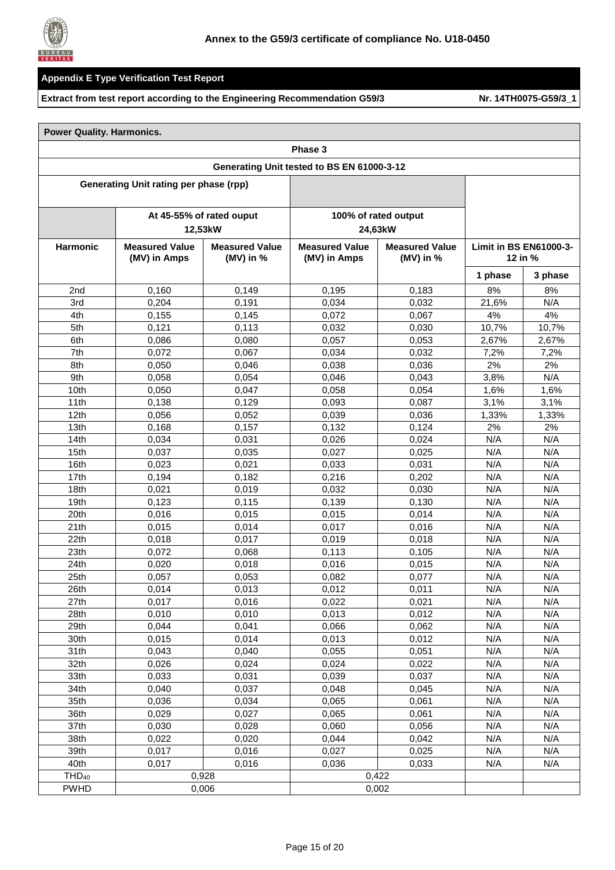

|  | <b>Power Quality. Harmonics.</b> |
|--|----------------------------------|
|  |                                  |

| Phase 3           |                                                                               |                                       |                                            |                                          |         |         |
|-------------------|-------------------------------------------------------------------------------|---------------------------------------|--------------------------------------------|------------------------------------------|---------|---------|
|                   |                                                                               |                                       | Generating Unit tested to BS EN 61000-3-12 |                                          |         |         |
|                   | <b>Generating Unit rating per phase (rpp)</b>                                 |                                       |                                            |                                          |         |         |
|                   |                                                                               |                                       |                                            |                                          |         |         |
|                   |                                                                               | At 45-55% of rated ouput<br>12,53kW   |                                            | 100% of rated output<br>24,63kW          |         |         |
| <b>Harmonic</b>   | <b>Measured Value</b><br><b>Measured Value</b><br>(MV) in Amps<br>(MV) in $%$ | <b>Measured Value</b><br>(MV) in Amps | <b>Measured Value</b><br>(MV) in $%$       | <b>Limit in BS EN61000-3-</b><br>12 in % |         |         |
|                   |                                                                               |                                       |                                            |                                          | 1 phase | 3 phase |
| 2nd               | 0,160                                                                         | 0,149                                 | 0,195                                      | 0,183                                    | 8%      | 8%      |
| 3rd               | 0,204                                                                         | 0,191                                 | 0,034                                      | 0,032                                    | 21,6%   | N/A     |
| 4th               | 0,155                                                                         | 0,145                                 | 0,072                                      | 0,067                                    | 4%      | 4%      |
| 5th               | 0,121                                                                         | 0,113                                 | 0,032                                      | 0,030                                    | 10,7%   | 10,7%   |
| 6th               | 0,086                                                                         | 0,080                                 | 0,057                                      | 0,053                                    | 2,67%   | 2,67%   |
| 7th               | 0,072                                                                         | 0,067                                 | 0,034                                      | 0,032                                    | 7,2%    | 7,2%    |
| 8th               | 0,050                                                                         | 0,046                                 | 0,038                                      | 0,036                                    | 2%      | 2%      |
| 9th               | 0,058                                                                         | 0,054                                 | 0,046                                      | 0,043                                    | 3,8%    | N/A     |
| 10th              | 0,050                                                                         | 0,047                                 | 0,058                                      | 0,054                                    | 1,6%    | 1,6%    |
| 11th              | 0,138                                                                         | 0,129                                 | 0,093                                      | 0,087                                    | 3,1%    | 3,1%    |
| 12 <sub>th</sub>  | 0,056                                                                         | 0,052                                 | 0,039                                      | 0.036                                    | 1,33%   | 1,33%   |
| 13 <sub>th</sub>  | 0,168                                                                         | 0,157                                 | 0,132                                      | 0,124                                    | 2%      | 2%      |
| 14th              | 0,034                                                                         | 0,031                                 | 0,026                                      | 0,024                                    | N/A     | N/A     |
| 15 <sub>th</sub>  | 0,037                                                                         | 0,035                                 | 0,027                                      | 0,025                                    | N/A     | N/A     |
| 16th              | 0,023                                                                         | 0,021                                 | 0.033                                      | 0,031                                    | N/A     | N/A     |
| 17th              | 0,194                                                                         | 0,182                                 | 0,216                                      | 0,202                                    | N/A     | N/A     |
| 18th              | 0,021                                                                         | 0,019                                 | 0,032                                      | 0.030                                    | N/A     | N/A     |
| 19 <sub>th</sub>  | 0,123                                                                         | 0,115                                 | 0,139                                      | 0,130                                    | N/A     | N/A     |
| 20th              | 0,016                                                                         | 0,015                                 | 0,015                                      | 0,014                                    | N/A     | N/A     |
| 21th              | 0,015                                                                         | 0,014                                 | 0,017                                      | 0,016                                    | N/A     | N/A     |
| 22th              | 0,018                                                                         | 0,017                                 | 0,019                                      | 0,018                                    | N/A     | N/A     |
| 23 <sub>th</sub>  | 0,072                                                                         | 0,068                                 | 0,113                                      | 0,105                                    | N/A     | N/A     |
| 24th              | 0,020                                                                         | 0,018                                 | 0,016                                      | 0,015                                    | N/A     | N/A     |
| 25th              | 0,057                                                                         | 0,053                                 | 0,082                                      | 0,077                                    | N/A     | N/A     |
| 26th              | 0,014                                                                         | 0,013                                 | 0,012                                      | 0,011                                    | N/A     | N/A     |
| 27th              | 0,017                                                                         | 0,016                                 | 0,022                                      | 0,021                                    | N/A     | N/A     |
| 28th              | 0,010                                                                         | 0,010                                 | 0,013                                      | 0,012                                    | N/A     | N/A     |
| 29th              | 0,044                                                                         | 0,041                                 | 0,066                                      | 0,062                                    | N/A     | N/A     |
| 30th              | 0,015                                                                         | 0,014                                 | 0,013                                      | 0,012                                    | N/A     | N/A     |
| 31th              | 0,043                                                                         | 0,040                                 | 0,055                                      | 0,051                                    | N/A     | N/A     |
| 32th              | 0,026                                                                         | 0,024                                 | 0,024                                      | 0,022                                    | N/A     | N/A     |
| 33th              | 0,033                                                                         | 0,031                                 | 0,039                                      | 0,037                                    | N/A     | N/A     |
| 34th              | 0,040                                                                         | 0,037                                 | 0,048                                      | 0,045                                    | N/A     | N/A     |
| 35th              | 0,036                                                                         | 0,034                                 | 0,065                                      | 0,061                                    | N/A     | N/A     |
| 36th              | 0,029                                                                         | 0,027                                 | 0,065                                      | 0,061                                    | N/A     | N/A     |
| 37th              | 0,030                                                                         | 0,028                                 | 0,060                                      | 0,056                                    | N/A     | N/A     |
| 38th              | 0,022                                                                         | 0,020                                 | 0,044                                      | 0,042                                    | N/A     | N/A     |
| 39th              | 0,017                                                                         | 0,016                                 | 0,027                                      | 0,025                                    | N/A     | N/A     |
| 40th              | 0,017                                                                         | 0,016                                 | 0,036                                      | 0,033                                    | N/A     | N/A     |
| THD <sub>40</sub> |                                                                               | 0,928                                 |                                            | 0,422                                    |         |         |
| <b>PWHD</b>       |                                                                               | 0,006                                 |                                            | 0,002                                    |         |         |
|                   |                                                                               |                                       |                                            |                                          |         |         |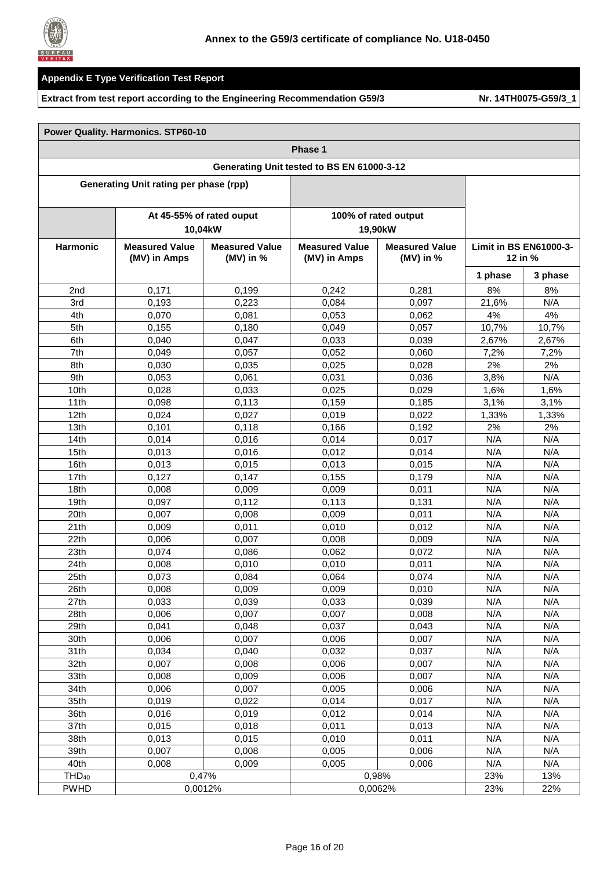

|                   | <b>Power Quality. Harmonics. STP60-10</b>  |                                      |                                       |                                    |                                          |         |  |  |
|-------------------|--------------------------------------------|--------------------------------------|---------------------------------------|------------------------------------|------------------------------------------|---------|--|--|
|                   | Phase 1                                    |                                      |                                       |                                    |                                          |         |  |  |
|                   | Generating Unit tested to BS EN 61000-3-12 |                                      |                                       |                                    |                                          |         |  |  |
|                   | Generating Unit rating per phase (rpp)     |                                      |                                       |                                    |                                          |         |  |  |
|                   |                                            |                                      |                                       |                                    |                                          |         |  |  |
|                   |                                            | At 45-55% of rated ouput             |                                       | 100% of rated output               |                                          |         |  |  |
|                   |                                            | 10,04kW                              |                                       | 19,90kW                            |                                          |         |  |  |
| <b>Harmonic</b>   | <b>Measured Value</b><br>(MV) in Amps      | <b>Measured Value</b><br>(MV) in $%$ | <b>Measured Value</b><br>(MV) in Amps | <b>Measured Value</b><br>(MV) in % | <b>Limit in BS EN61000-3-</b><br>12 in % |         |  |  |
|                   |                                            |                                      |                                       |                                    | 1 phase                                  | 3 phase |  |  |
| 2 <sub>nd</sub>   | 0,171                                      | 0,199                                | 0,242                                 | 0,281                              | 8%                                       | 8%      |  |  |
| 3rd               | 0,193                                      | 0,223                                | 0,084                                 | 0,097                              | 21,6%                                    | N/A     |  |  |
| 4th               | 0,070                                      | 0,081                                | 0,053                                 | 0,062                              | 4%                                       | 4%      |  |  |
| 5th               | 0,155                                      | 0,180                                | 0,049                                 | 0,057                              | 10,7%                                    | 10,7%   |  |  |
| 6th               | 0,040                                      | 0,047                                | 0,033                                 | 0.039                              | 2,67%                                    | 2,67%   |  |  |
| 7th               | 0,049                                      | 0,057                                | 0,052                                 | 0,060                              | 7,2%                                     | 7,2%    |  |  |
| 8th               | 0.030                                      | 0,035                                | 0,025                                 | 0,028                              | 2%                                       | 2%      |  |  |
| 9th               | 0,053                                      | 0,061                                | 0,031                                 | 0.036                              | 3,8%                                     | N/A     |  |  |
| 10th              | 0,028                                      | 0.033                                | 0,025                                 | 0,029                              | 1,6%                                     | 1,6%    |  |  |
| 11th              | 0.098                                      | 0,113                                | 0.159                                 | 0,185                              | 3,1%                                     | 3,1%    |  |  |
| 12 <sub>th</sub>  | 0,024                                      | 0,027                                | 0,019                                 | 0,022                              | 1,33%                                    | 1,33%   |  |  |
| 13 <sub>th</sub>  | 0,101                                      | 0,118                                | 0,166                                 | 0,192                              | 2%                                       | 2%      |  |  |
| 14th              | 0,014                                      | 0,016                                | 0,014                                 | 0,017                              | N/A                                      | N/A     |  |  |
| 15th              | 0,013                                      | 0,016                                | 0,012                                 | 0,014                              | N/A                                      | N/A     |  |  |
| 16th              | 0,013                                      | 0,015                                | 0,013                                 | 0,015                              | N/A                                      | N/A     |  |  |
| 17th              | 0,127                                      | 0,147                                | 0,155                                 | 0,179                              | N/A                                      | N/A     |  |  |
| 18th              | 0,008                                      | 0,009                                | 0,009                                 | 0,011                              | N/A                                      | N/A     |  |  |
| 19 <sub>th</sub>  | 0,097                                      | 0,112                                | 0,113                                 | 0,131                              | N/A                                      | N/A     |  |  |
| 20th              | 0,007                                      | 0,008                                | 0,009                                 | 0,011                              | N/A                                      | N/A     |  |  |
| 21th              | 0,009                                      | 0,011                                | 0,010                                 | 0,012                              | N/A                                      | N/A     |  |  |
| 22th              | 0,006                                      | 0,007                                | 0,008                                 | 0,009                              | N/A                                      | N/A     |  |  |
| 23 <sub>th</sub>  | 0.074                                      | 0,086                                | 0,062                                 | 0,072                              | N/A                                      | N/A     |  |  |
| 24th              | 0,008                                      | 0,010                                | 0,010                                 | 0,011                              | N/A                                      | N/A     |  |  |
| 25th              | 0,073                                      | 0,084                                | 0,064                                 | 0.074                              | N/A                                      | N/A     |  |  |
| 26th              | 0,008                                      | 0,009                                | 0,009                                 | 0,010                              | N/A                                      | N/A     |  |  |
| 27th              | 0,033                                      | 0,039                                | 0,033                                 | 0,039                              | N/A                                      | N/A     |  |  |
| 28th              | 0,006                                      | 0,007                                | 0,007                                 | 0,008                              | N/A                                      | N/A     |  |  |
| 29th              | 0,041                                      | 0,048                                | 0,037                                 | 0,043                              | N/A                                      | N/A     |  |  |
| 30th              | 0,006                                      | 0,007                                | 0,006                                 | 0,007                              | N/A                                      | N/A     |  |  |
| 31th              | 0,034                                      | 0,040                                | 0,032                                 | 0,037                              | N/A                                      | N/A     |  |  |
| 32th              | 0,007                                      | 0,008                                | 0,006                                 | 0,007                              | N/A                                      | N/A     |  |  |
| 33th              | 0,008                                      | 0,009                                | 0,006                                 | 0,007                              | N/A                                      | N/A     |  |  |
| 34th              | 0,006                                      | 0,007                                | 0,005                                 | 0,006                              | N/A                                      | N/A     |  |  |
| 35th              | 0,019                                      | 0,022                                | 0,014                                 | 0,017                              | N/A                                      | N/A     |  |  |
| 36th              | 0,016                                      | 0,019                                | 0,012                                 | 0,014                              | N/A                                      | N/A     |  |  |
| 37th              | 0,015                                      | 0,018                                | 0,011                                 | 0,013                              | N/A                                      | N/A     |  |  |
| 38th              | 0,013                                      | 0,015                                | 0,010                                 | 0,011                              | N/A                                      | N/A     |  |  |
| 39th              | 0,007                                      | 0,008                                | 0,005                                 | 0,006                              | N/A                                      | N/A     |  |  |
| 40th              | 0,008                                      | 0,009                                | 0,005                                 | 0,006                              | N/A                                      | N/A     |  |  |
| THD <sub>40</sub> |                                            | 0,47%                                |                                       | 0,98%                              | 23%                                      | 13%     |  |  |
| <b>PWHD</b>       |                                            | 0,0012%                              |                                       | 0,0062%                            | 23%                                      | 22%     |  |  |
|                   |                                            |                                      |                                       |                                    |                                          |         |  |  |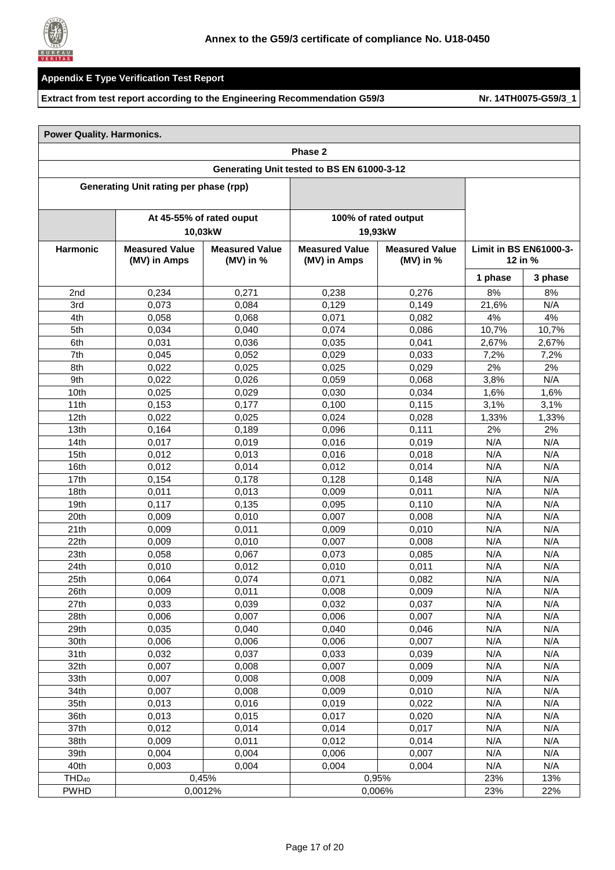

|  |  | <b>Power Quality. Harmonics.</b> |  |
|--|--|----------------------------------|--|
|--|--|----------------------------------|--|

|                   | Phase 2                                                                       |                          |                                            |                                      |         |                                            |  |
|-------------------|-------------------------------------------------------------------------------|--------------------------|--------------------------------------------|--------------------------------------|---------|--------------------------------------------|--|
|                   |                                                                               |                          | Generating Unit tested to BS EN 61000-3-12 |                                      |         |                                            |  |
|                   | Generating Unit rating per phase (rpp)                                        |                          |                                            |                                      |         |                                            |  |
|                   |                                                                               | At 45-55% of rated ouput |                                            | 100% of rated output                 |         |                                            |  |
|                   |                                                                               | 10,03kW                  |                                            | 19,93kW                              |         |                                            |  |
| <b>Harmonic</b>   | <b>Measured Value</b><br><b>Measured Value</b><br>(MV) in Amps<br>(MV) in $%$ |                          | <b>Measured Value</b><br>(MV) in Amps      | <b>Measured Value</b><br>(MV) in $%$ |         | <b>Limit in BS EN61000-3-</b><br>12 in $%$ |  |
|                   |                                                                               |                          |                                            |                                      | 1 phase | 3 phase                                    |  |
| 2nd               | 0,234                                                                         | 0,271                    | 0,238                                      | 0,276                                | 8%      | 8%                                         |  |
| 3rd               | 0,073                                                                         | 0,084                    | 0,129                                      | 0,149                                | 21,6%   | N/A                                        |  |
| 4th               | 0,058                                                                         | 0,068                    | 0,071                                      | 0,082                                | 4%      | 4%                                         |  |
| 5th               | 0,034                                                                         | 0,040                    | 0,074                                      | 0,086                                | 10,7%   | 10,7%                                      |  |
| 6th               | 0,031                                                                         | 0,036                    | 0,035                                      | 0,041                                | 2,67%   | 2,67%                                      |  |
| 7th               | 0,045                                                                         | 0,052                    | 0,029                                      | 0,033                                | 7,2%    | 7,2%                                       |  |
| 8th               | 0,022                                                                         | 0,025                    | 0,025                                      | 0,029                                | 2%      | 2%                                         |  |
| 9th               | 0,022                                                                         | 0,026                    | 0,059                                      | 0,068                                | 3,8%    | N/A                                        |  |
| 10th              | 0,025                                                                         | 0,029                    | 0,030                                      | 0,034                                | 1,6%    | 1,6%                                       |  |
| 11th              | 0,153                                                                         | 0,177                    | 0,100                                      | 0,115                                | 3,1%    | 3,1%                                       |  |
| 12 <sub>th</sub>  | 0,022                                                                         | 0,025                    | 0,024                                      | 0,028                                | 1,33%   | 1,33%                                      |  |
| 13th              | 0,164                                                                         | 0,189                    | 0,096                                      | 0,111                                | 2%      | 2%                                         |  |
| 14th              | 0,017                                                                         | 0,019                    | 0,016                                      | 0,019                                | N/A     | N/A                                        |  |
| 15th              | 0,012                                                                         | 0,013                    | 0,016                                      | 0,018                                | N/A     | N/A                                        |  |
| 16th              | 0,012                                                                         | 0,014                    | 0,012                                      | 0,014                                | N/A     | N/A                                        |  |
| 17th              | 0,154                                                                         | 0,178                    | 0,128                                      | 0,148                                | N/A     | N/A                                        |  |
| 18th              | 0,011                                                                         | 0,013                    | 0,009                                      | 0,011                                | N/A     | N/A                                        |  |
| 19th              | 0,117                                                                         | 0,135                    | 0,095                                      | 0,110                                | N/A     | N/A                                        |  |
| 20th              | 0,009                                                                         | 0,010                    | 0,007                                      | 0,008                                | N/A     | N/A                                        |  |
| 21th              | 0,009                                                                         | 0,011                    | 0,009                                      | 0,010                                | N/A     | N/A                                        |  |
| 22th              | 0,009                                                                         | 0,010                    | 0,007                                      | 0,008                                | N/A     | N/A                                        |  |
| 23th              | 0,058                                                                         | 0,067                    | 0.073                                      | 0,085                                | N/A     | N/A                                        |  |
| 24th              | 0,010                                                                         | 0,012                    | 0,010                                      | 0,011                                | N/A     | N/A                                        |  |
| 25th              | 0,064                                                                         | 0,074                    | 0,071                                      | 0,082                                | N/A     | N/A                                        |  |
| 26th              | 0,009                                                                         | 0,011                    | 0,008                                      | 0,009                                | N/A     | N/A                                        |  |
| 27th              | 0,033                                                                         | 0,039                    | 0,032                                      | 0,037                                | N/A     | N/A                                        |  |
| 28th              | 0,006                                                                         | 0,007                    | 0,006                                      | 0,007                                | N/A     | N/A                                        |  |
| 29th              | 0,035                                                                         | 0,040                    | 0,040                                      | 0,046                                | N/A     | N/A                                        |  |
| 30th              | 0,006                                                                         | 0,006                    | 0,006                                      | 0,007                                | N/A     | N/A                                        |  |
| 31th              | 0,032                                                                         | 0,037                    | 0,033                                      | 0,039                                | N/A     | N/A                                        |  |
| 32th              | 0,007                                                                         | 0,008                    | 0,007                                      | 0,009                                | N/A     | N/A                                        |  |
| 33th              | 0,007                                                                         | 0,008                    | 0,008                                      | 0,009                                | N/A     | N/A                                        |  |
| 34th              | 0,007                                                                         | 0,008                    | 0,009                                      | 0,010                                | N/A     | N/A                                        |  |
| 35th              | 0,013                                                                         | 0,016                    | 0,019                                      | 0,022                                | N/A     | N/A                                        |  |
| 36th              | 0,013                                                                         | 0,015                    | 0,017                                      | 0,020                                | N/A     | N/A                                        |  |
| 37th              | 0,012                                                                         | 0,014                    | 0,014                                      | 0,017                                | N/A     | N/A                                        |  |
| 38th              | 0,009                                                                         | 0,011                    | 0,012                                      | 0,014                                | N/A     | N/A                                        |  |
| 39th              | 0,004                                                                         | 0,004                    | 0,006                                      | 0,007                                | N/A     | N/A                                        |  |
| 40th              | 0,003                                                                         | 0,004                    | 0,004                                      | 0,004                                | N/A     | N/A                                        |  |
| THD <sub>40</sub> |                                                                               | 0,45%                    |                                            | 0,95%                                | 23%     | 13%                                        |  |
| <b>PWHD</b>       |                                                                               | 0,0012%                  |                                            | 0,006%                               | 23%     | 22%                                        |  |
|                   |                                                                               |                          |                                            |                                      |         |                                            |  |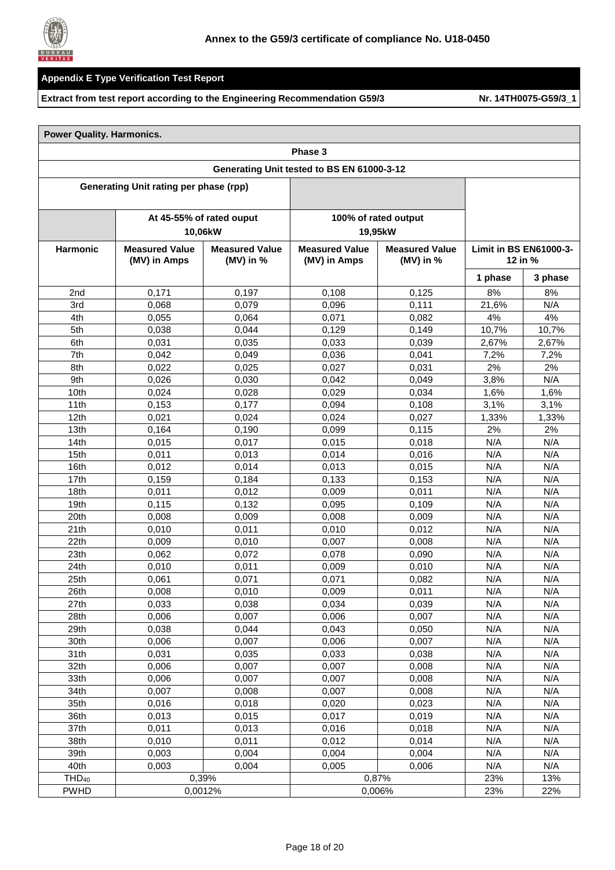

|  |  | <b>Power Quality. Harmonics.</b> |  |
|--|--|----------------------------------|--|
|--|--|----------------------------------|--|

|                                            | Phase 3                                                                       |                          |                                       |                                      |                                            |         |  |
|--------------------------------------------|-------------------------------------------------------------------------------|--------------------------|---------------------------------------|--------------------------------------|--------------------------------------------|---------|--|
| Generating Unit tested to BS EN 61000-3-12 |                                                                               |                          |                                       |                                      |                                            |         |  |
|                                            | Generating Unit rating per phase (rpp)                                        |                          |                                       |                                      |                                            |         |  |
|                                            |                                                                               | At 45-55% of rated ouput |                                       | 100% of rated output                 |                                            |         |  |
|                                            |                                                                               | 10,06kW                  |                                       | 19,95kW                              |                                            |         |  |
| <b>Harmonic</b>                            | <b>Measured Value</b><br><b>Measured Value</b><br>(MV) in Amps<br>(MV) in $%$ |                          | <b>Measured Value</b><br>(MV) in Amps | <b>Measured Value</b><br>(MV) in $%$ | <b>Limit in BS EN61000-3-</b><br>12 in $%$ |         |  |
|                                            |                                                                               |                          |                                       |                                      | 1 phase                                    | 3 phase |  |
| 2nd                                        | 0.171                                                                         | 0,197                    | 0,108                                 | 0,125                                | 8%                                         | 8%      |  |
| 3rd                                        | 0,068                                                                         | 0,079                    | 0,096                                 | 0,111                                | 21,6%                                      | N/A     |  |
| 4th                                        | 0,055                                                                         | 0,064                    | 0,071                                 | 0,082                                | 4%                                         | 4%      |  |
| 5th                                        | 0,038                                                                         | 0,044                    | 0,129                                 | 0,149                                | 10,7%                                      | 10,7%   |  |
| 6th                                        | 0,031                                                                         | 0,035                    | 0,033                                 | 0,039                                | 2,67%                                      | 2,67%   |  |
| 7th                                        | 0,042                                                                         | 0,049                    | 0,036                                 | 0,041                                | 7,2%                                       | 7,2%    |  |
| 8th                                        | 0,022                                                                         | 0,025                    | 0,027                                 | 0,031                                | 2%                                         | 2%      |  |
| 9th                                        | 0,026                                                                         | 0,030                    | 0,042                                 | 0,049                                | 3,8%                                       | N/A     |  |
| 10th                                       | 0,024                                                                         | 0,028                    | 0,029                                 | 0,034                                | 1,6%                                       | 1,6%    |  |
| 11th                                       | 0,153                                                                         | 0,177                    | 0,094                                 | 0,108                                | 3,1%                                       | 3,1%    |  |
| 12th                                       | 0,021                                                                         | 0,024                    | 0,024                                 | 0,027                                | 1,33%                                      | 1,33%   |  |
| 13th                                       | 0,164                                                                         | 0,190                    | 0,099                                 | 0,115                                | 2%                                         | 2%      |  |
| 14th                                       | 0,015                                                                         | 0,017                    | 0,015                                 | 0,018                                | N/A                                        | N/A     |  |
| 15th                                       | 0,011                                                                         | 0,013                    | 0,014                                 | 0,016                                | N/A                                        | N/A     |  |
| 16th                                       | 0,012                                                                         | 0,014                    | 0,013                                 | 0,015                                | N/A                                        | N/A     |  |
| 17th                                       | 0,159                                                                         | 0,184                    | 0,133                                 | 0,153                                | N/A                                        | N/A     |  |
| 18th                                       | 0,011                                                                         | 0,012                    | 0,009                                 | 0,011                                | N/A                                        | N/A     |  |
| 19th                                       | 0.115                                                                         | 0,132                    | 0,095                                 | 0,109                                | N/A                                        | N/A     |  |
| 20th                                       | 0,008                                                                         | 0,009                    | 0,008                                 | 0,009                                | N/A                                        | N/A     |  |
| 21th                                       | 0,010                                                                         | 0,011                    | 0,010                                 | 0,012                                | N/A                                        | N/A     |  |
| 22th                                       | 0,009                                                                         | 0,010                    | 0,007                                 | 0,008                                | N/A                                        | N/A     |  |
| 23th                                       | 0,062                                                                         | 0,072                    | 0,078                                 | 0,090                                | N/A                                        | N/A     |  |
| 24th                                       | 0,010                                                                         | 0,011                    | 0,009                                 | 0,010                                | N/A                                        | N/A     |  |
| 25th                                       | 0,061                                                                         | 0,071                    | 0,071                                 | 0,082                                | N/A                                        | N/A     |  |
| 26th                                       | 0,008                                                                         | 0,010                    | 0,009                                 | 0,011                                | N/A                                        | N/A     |  |
| 27th                                       | 0,033                                                                         | 0,038                    | 0,034                                 | 0,039                                | N/A                                        | N/A     |  |
| 28th                                       | 0,006                                                                         | 0,007                    | 0,006                                 | 0,007                                | N/A                                        | N/A     |  |
| 29th                                       | 0,038                                                                         | 0,044                    | 0,043                                 | 0,050                                | N/A                                        | N/A     |  |
| 30th                                       | 0,006                                                                         | 0,007                    | 0,006                                 | 0,007                                | N/A                                        | N/A     |  |
| 31th                                       | 0,031                                                                         | 0,035                    | 0,033                                 | 0,038                                | N/A                                        | N/A     |  |
| 32th                                       | 0,006                                                                         | 0,007                    | 0,007                                 | 0,008                                | N/A                                        | N/A     |  |
| 33th                                       | 0,006                                                                         | 0,007                    | 0,007                                 | 0,008                                | N/A                                        | N/A     |  |
| 34th                                       | 0,007                                                                         | 0,008                    | 0,007                                 | 0,008                                | N/A                                        | N/A     |  |
| 35th                                       | 0,016                                                                         | 0,018                    | 0,020                                 | 0,023                                | N/A                                        | N/A     |  |
| 36th                                       | 0,013                                                                         | 0,015                    | 0,017                                 | 0,019                                | N/A                                        | N/A     |  |
| 37th                                       | 0,011                                                                         | 0,013                    | 0,016                                 | 0,018                                | N/A                                        | N/A     |  |
| 38th                                       | 0,010                                                                         | 0,011                    | 0,012                                 | 0,014                                | N/A                                        | N/A     |  |
| 39th                                       | 0,003                                                                         | 0,004                    | 0,004                                 | 0,004                                | N/A                                        | N/A     |  |
| 40th                                       | 0,003                                                                         | 0,004                    | 0,005                                 | 0,006                                | N/A                                        | N/A     |  |
| THD <sub>40</sub>                          |                                                                               | 0,39%                    |                                       | 0,87%                                | 23%                                        | 13%     |  |
| <b>PWHD</b>                                |                                                                               | 0,0012%                  |                                       | 0,006%                               | 23%                                        | 22%     |  |
|                                            |                                                                               |                          |                                       |                                      |                                            |         |  |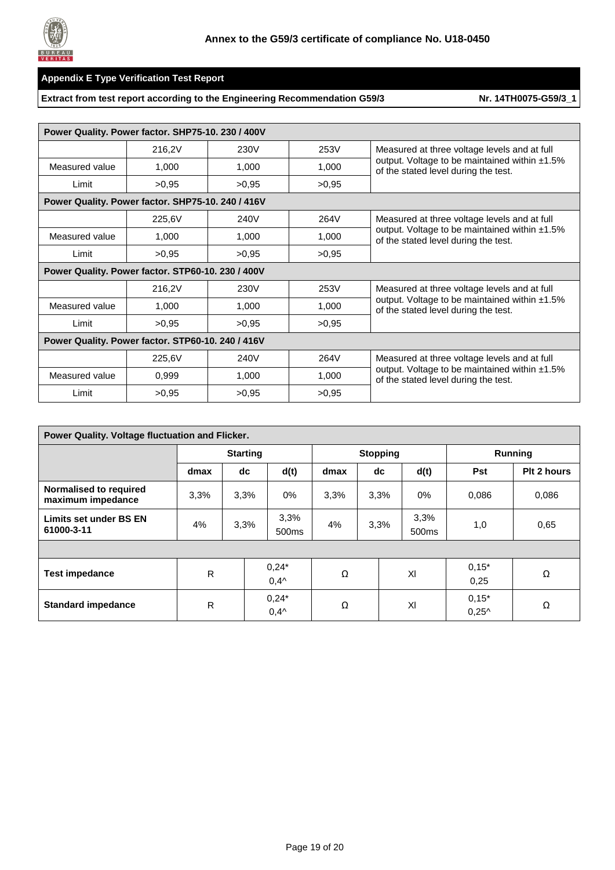

| Power Quality. Power factor. SHP75-10. 230 / 400V |        |       |       |                                                                                          |  |  |  |  |
|---------------------------------------------------|--------|-------|-------|------------------------------------------------------------------------------------------|--|--|--|--|
|                                                   | 216,2V | 230V  | 253V  | Measured at three voltage levels and at full                                             |  |  |  |  |
| Measured value                                    | 1,000  | 1,000 | 1,000 | output. Voltage to be maintained within $±1.5\%$<br>of the stated level during the test. |  |  |  |  |
| Limit                                             | >0.95  | >0.95 | >0.95 |                                                                                          |  |  |  |  |
| Power Quality. Power factor. SHP75-10. 240 / 416V |        |       |       |                                                                                          |  |  |  |  |
|                                                   | 225,6V | 240V  | 264V  | Measured at three voltage levels and at full                                             |  |  |  |  |
| Measured value                                    | 1,000  | 1,000 | 1,000 | output. Voltage to be maintained within $±1.5\%$<br>of the stated level during the test. |  |  |  |  |
| Limit                                             | >0,95  | >0,95 | >0,95 |                                                                                          |  |  |  |  |
| Power Quality. Power factor. STP60-10. 230 / 400V |        |       |       |                                                                                          |  |  |  |  |
|                                                   | 216,2V | 230V  | 253V  | Measured at three voltage levels and at full                                             |  |  |  |  |
| Measured value                                    | 1,000  | 1,000 | 1,000 | output. Voltage to be maintained within $±1.5\%$<br>of the stated level during the test. |  |  |  |  |
| Limit                                             | >0.95  | >0,95 | >0,95 |                                                                                          |  |  |  |  |
| Power Quality. Power factor. STP60-10. 240 / 416V |        |       |       |                                                                                          |  |  |  |  |
|                                                   | 225,6V | 240V  | 264V  | Measured at three voltage levels and at full                                             |  |  |  |  |
| Measured value                                    | 0,999  | 1,000 | 1,000 | output. Voltage to be maintained within $±1.5\%$<br>of the stated level during the test. |  |  |  |  |
| Limit                                             | >0.95  | >0.95 | >0.95 |                                                                                          |  |  |  |  |

| Power Quality. Voltage fluctuation and Flicker. |                 |      |                           |                 |  |      |                           |                            |             |
|-------------------------------------------------|-----------------|------|---------------------------|-----------------|--|------|---------------------------|----------------------------|-------------|
|                                                 | <b>Starting</b> |      |                           | <b>Stopping</b> |  |      |                           | <b>Running</b>             |             |
|                                                 | dmax            | dc   | d(t)                      | dmax            |  | dc   | d(t)                      | <b>Pst</b>                 | Plt 2 hours |
| Normalised to required<br>maximum impedance     | 3,3%            | 3.3% | $0\%$                     | 3,3%            |  | 3.3% | $0\%$                     | 0.086                      | 0,086       |
| Limits set under BS EN<br>61000-3-11            | 4%              | 3.3% | 3,3%<br>500ms             | 4%              |  | 3.3% | 3,3%<br>500 <sub>ms</sub> | 1,0                        | 0,65        |
|                                                 |                 |      |                           |                 |  |      |                           |                            |             |
| <b>Test impedance</b>                           | R               |      | $0,24*$<br>$0,4^{\wedge}$ | Ω               |  |      | XI                        | $0,15*$<br>0,25            | Ω           |
| <b>Standard impedance</b>                       | R               |      | $0,24*$<br>$0,4^{\wedge}$ | Ω               |  |      | XI                        | $0.15*$<br>$0.25^{\wedge}$ | Ω           |